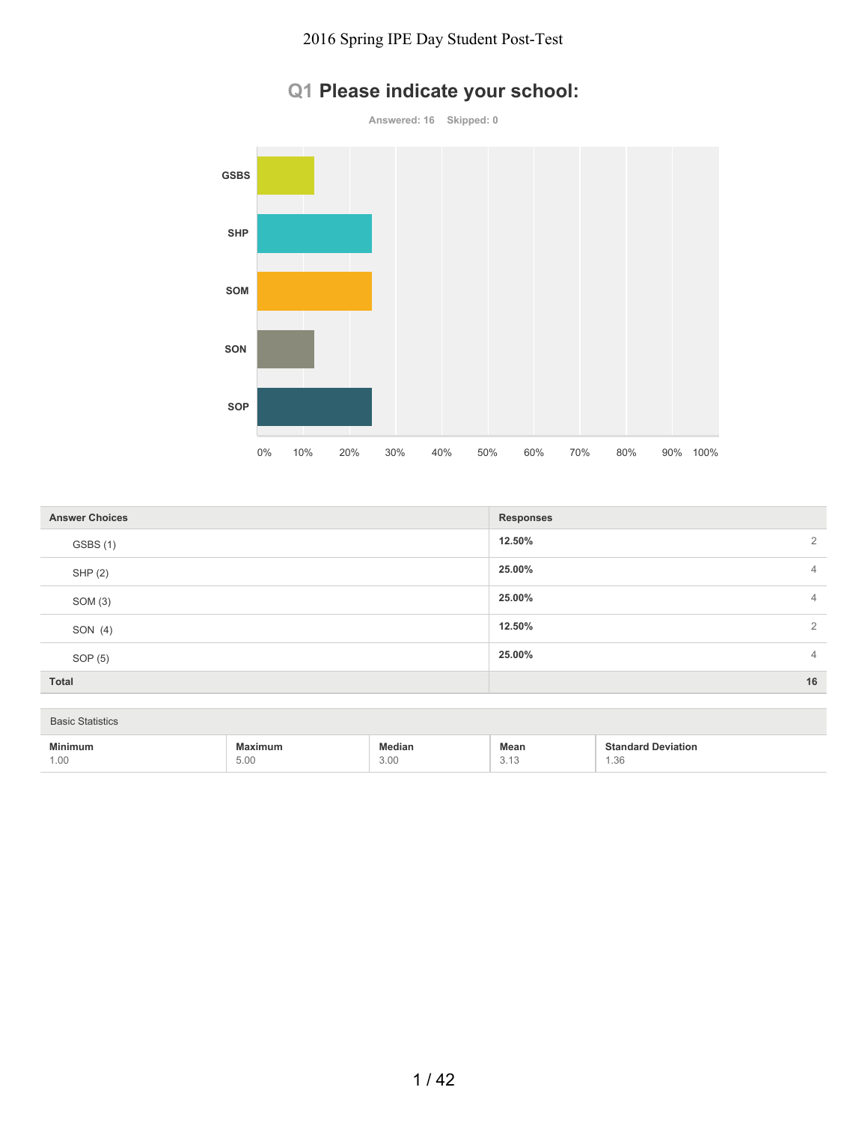

# **Q1 Please indicate your school:**

| <b>Answer Choices</b> | <b>Responses</b>         |
|-----------------------|--------------------------|
| GSBS (1)              | 12.50%<br>$\overline{2}$ |
| SHP (2)               | 25.00%<br>$\overline{4}$ |
| SOM(3)                | 25.00%<br>4              |
| SON (4)               | 12.50%<br>2              |
| SOP (5)               | 25.00%<br>4              |
| Total                 | 16                       |
|                       |                          |

I

| <b>Basic Statistics</b> |                                             |                |              |                                   |
|-------------------------|---------------------------------------------|----------------|--------------|-----------------------------------|
| <b>Minimum</b><br>1.00  | Maximum<br>$\overline{\phantom{a}}$<br>5.00 | Median<br>3.00 | Mean<br>0.10 | <b>Standard Deviation</b><br>1.36 |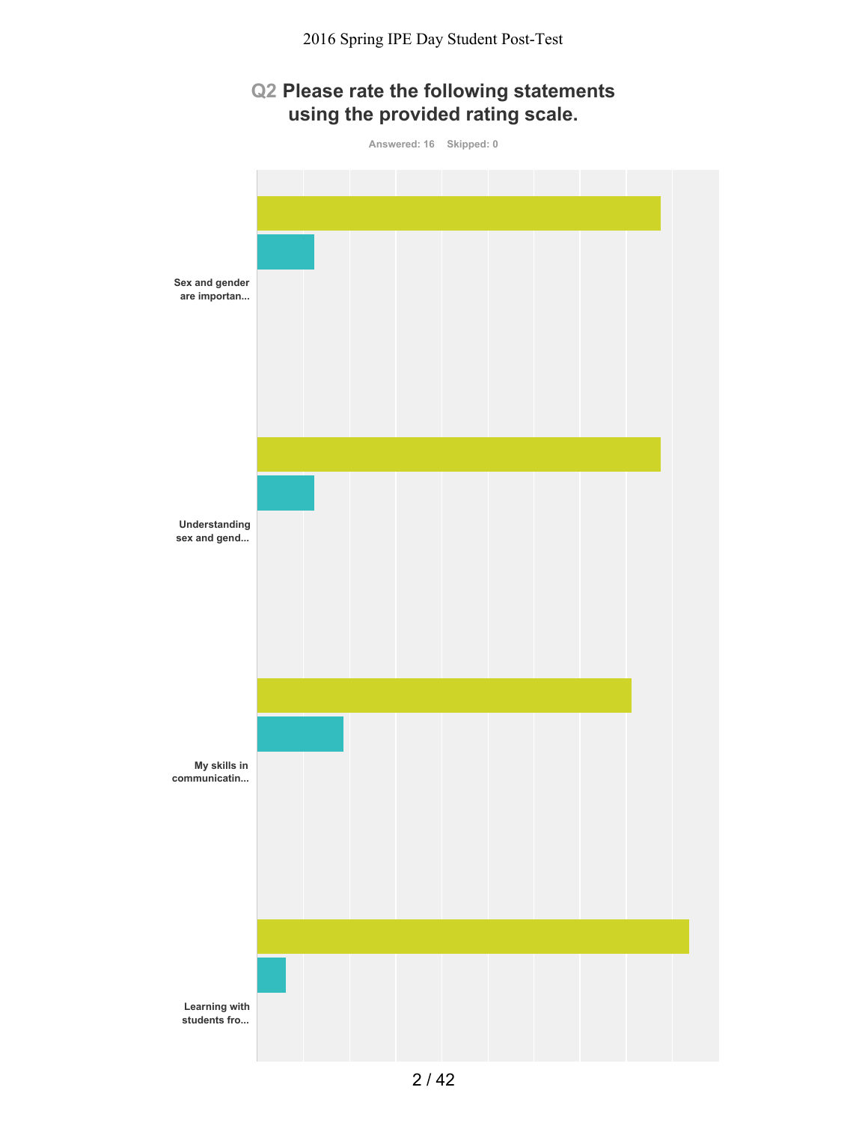

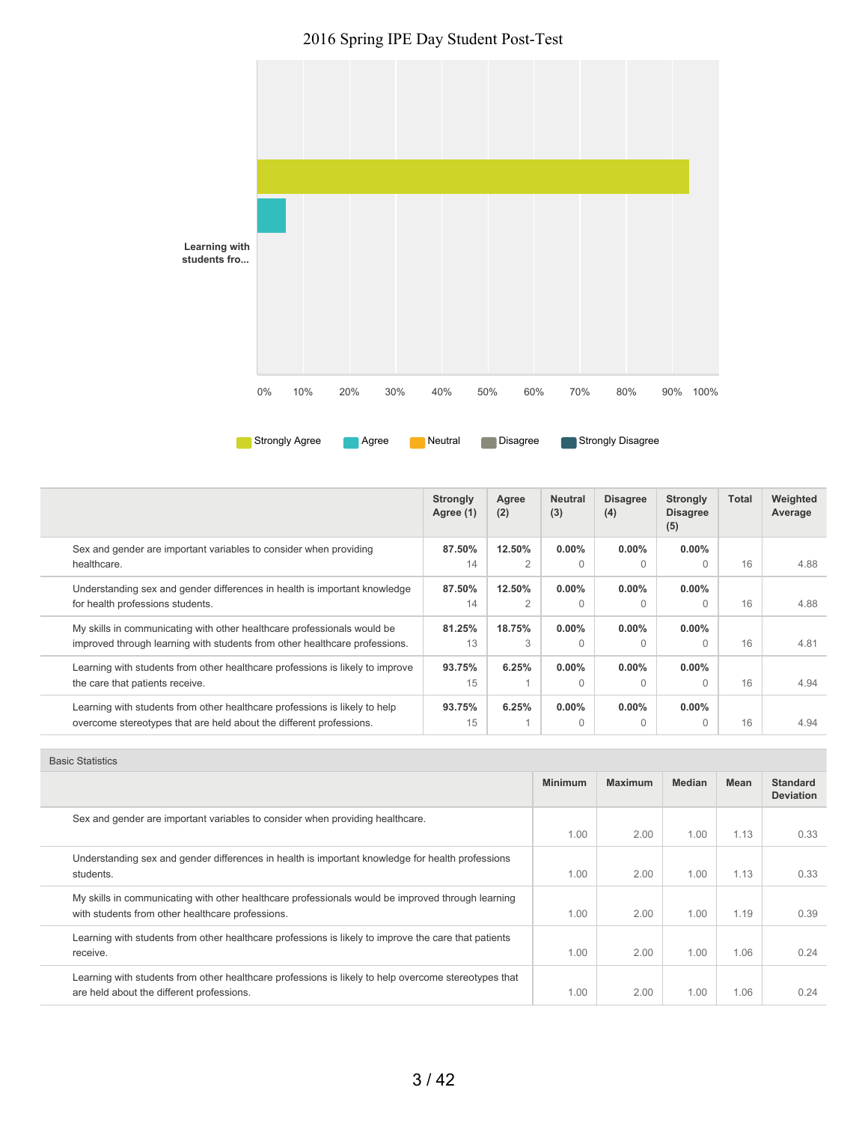2016 Spring IPE Day Student Post-Test



|                                                                                                                                                       | <b>Strongly</b><br>Agree (1) | Agree<br>(2)             | <b>Neutral</b><br>(3) | <b>Disagree</b><br>(4) | <b>Strongly</b><br><b>Disagree</b><br>(5) | <b>Total</b> | Weighted<br>Average |
|-------------------------------------------------------------------------------------------------------------------------------------------------------|------------------------------|--------------------------|-----------------------|------------------------|-------------------------------------------|--------------|---------------------|
| Sex and gender are important variables to consider when providing<br>healthcare.                                                                      | 87.50%<br>14                 | 12.50%<br>2              | $0.00\%$              | $0.00\%$               | $0.00\%$<br>$\Omega$                      | 16           | 4.88                |
| Understanding sex and gender differences in health is important knowledge<br>for health professions students.                                         | 87.50%<br>14                 | 12.50%<br>$\overline{2}$ | $0.00\%$<br>$\Omega$  | $0.00\%$               | $0.00\%$<br>$\Omega$                      | 16           | 4.88                |
| My skills in communicating with other healthcare professionals would be<br>improved through learning with students from other healthcare professions. | 81.25%<br>13                 | 18.75%<br>3              | $0.00\%$              | $0.00\%$               | $0.00\%$<br>$\Omega$                      | 16           | 4.81                |
| Learning with students from other healthcare professions is likely to improve<br>the care that patients receive.                                      | 93.75%<br>15                 | 6.25%                    | $0.00\%$<br>$\Omega$  | $0.00\%$               | $0.00\%$<br>$\Omega$                      | 16           | 4.94                |
| Learning with students from other healthcare professions is likely to help<br>overcome stereotypes that are held about the different professions.     | 93.75%<br>15                 | 6.25%                    | $0.00\%$<br>$\Omega$  | $0.00\%$<br>$\Omega$   | $0.00\%$<br>$\Omega$                      | 16           | 4.94                |

| <b>Basic Statistics</b>                                                                                                                               |                |                |               |      |                                     |  |  |  |
|-------------------------------------------------------------------------------------------------------------------------------------------------------|----------------|----------------|---------------|------|-------------------------------------|--|--|--|
|                                                                                                                                                       | <b>Minimum</b> | <b>Maximum</b> | <b>Median</b> | Mean | <b>Standard</b><br><b>Deviation</b> |  |  |  |
| Sex and gender are important variables to consider when providing healthcare.                                                                         | 1.00           | 2.00           | 1.00          | 1.13 | 0.33                                |  |  |  |
| Understanding sex and gender differences in health is important knowledge for health professions<br>students.                                         | 1.00           | 2.00           | 1.00          | 1.13 | 0.33                                |  |  |  |
| My skills in communicating with other healthcare professionals would be improved through learning<br>with students from other healthcare professions. | 1.00           | 2.00           | 1.00          | 1.19 | 0.39                                |  |  |  |
| Learning with students from other healthcare professions is likely to improve the care that patients<br>receive.                                      | 1.00           | 2.00           | 1.00          | 1.06 | 0.24                                |  |  |  |
| Learning with students from other healthcare professions is likely to help overcome stereotypes that<br>are held about the different professions.     | 1.00           | 2.00           | 1.00          | 1.06 | 0.24                                |  |  |  |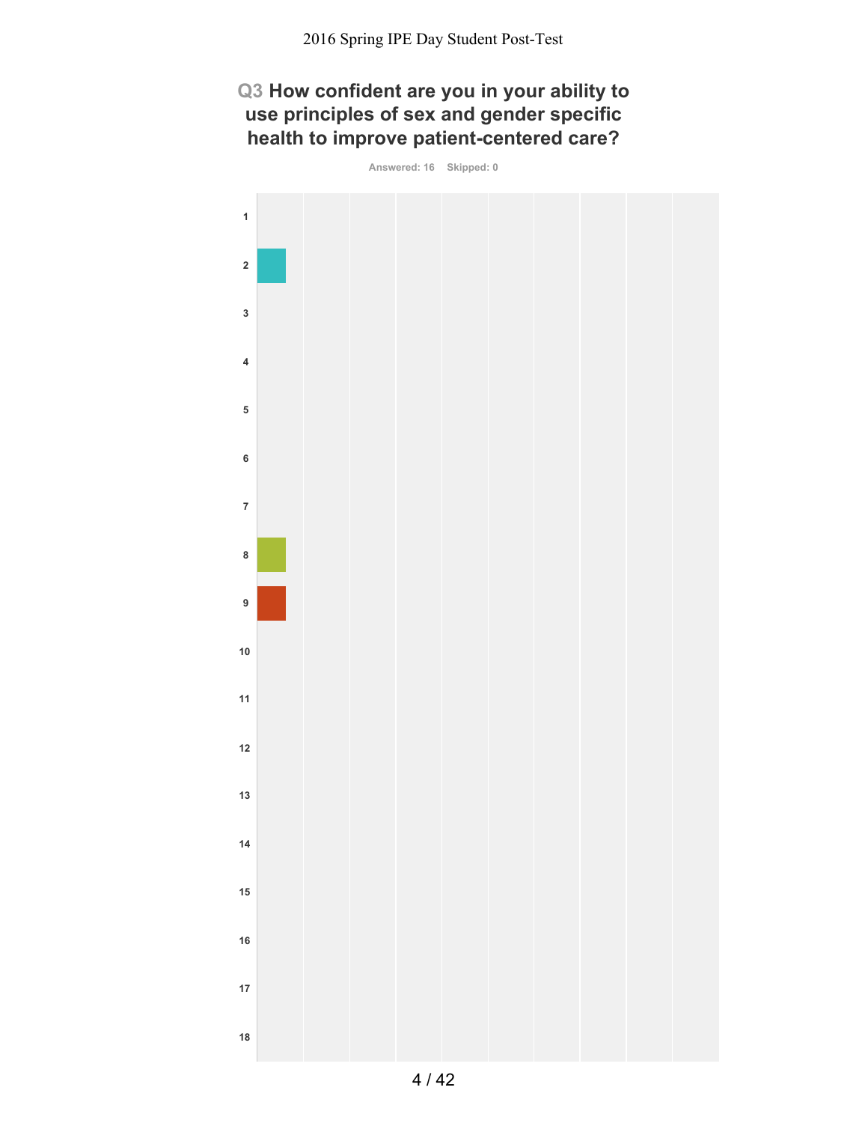# **Q3 How confident are you in your ability to use principles of sex and gender specific health to improve patient-centered care?**

**Answered: 16 Skipped: 0**

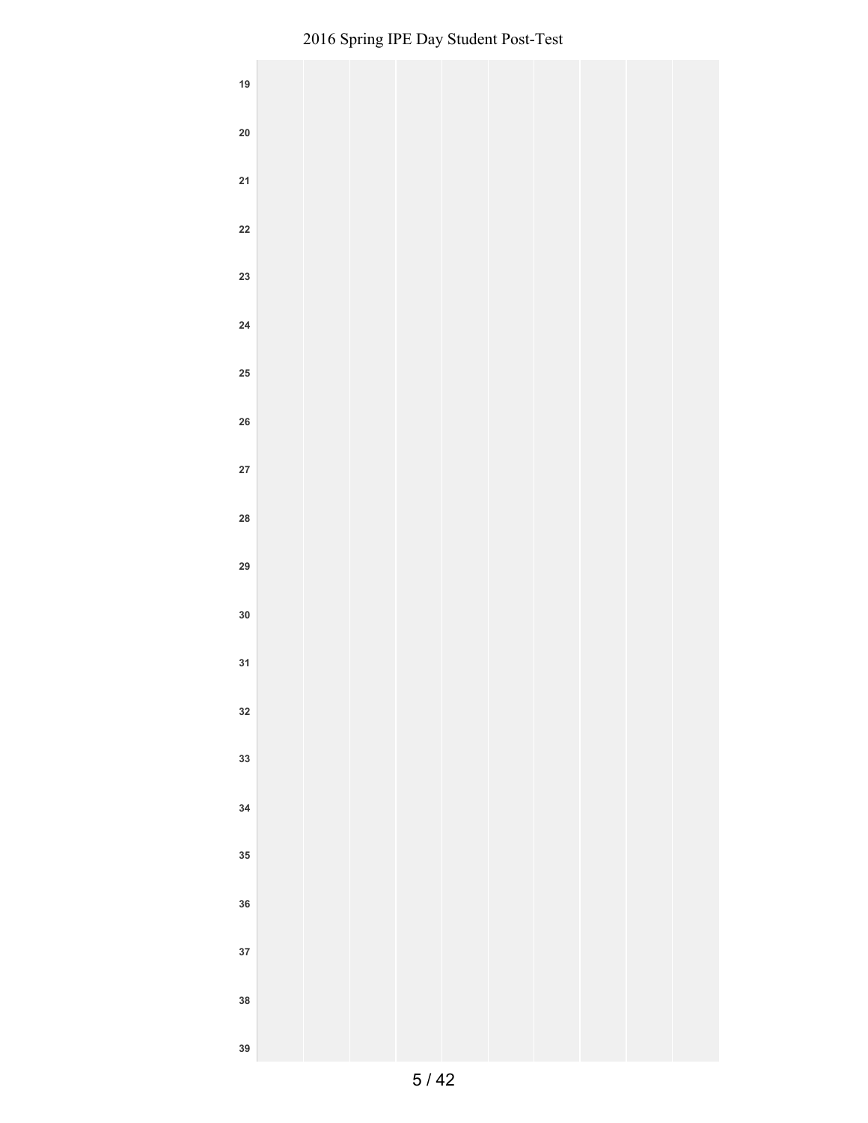| $19\,$     |  |  |  |  |  |
|------------|--|--|--|--|--|
| ${\bf 20}$ |  |  |  |  |  |
| 21         |  |  |  |  |  |
| ${\bf 22}$ |  |  |  |  |  |
| 23         |  |  |  |  |  |
| ${\bf 24}$ |  |  |  |  |  |
| ${\bf 25}$ |  |  |  |  |  |
| ${\bf 26}$ |  |  |  |  |  |
| ${\bf 27}$ |  |  |  |  |  |
| 28         |  |  |  |  |  |
| 29         |  |  |  |  |  |
|            |  |  |  |  |  |
| ${\bf 30}$ |  |  |  |  |  |
| 31         |  |  |  |  |  |
| ${\bf 32}$ |  |  |  |  |  |
| 33         |  |  |  |  |  |
| $34\,$     |  |  |  |  |  |
| ${\bf 35}$ |  |  |  |  |  |
| $36\,$     |  |  |  |  |  |
| 37         |  |  |  |  |  |
| ${\bf 38}$ |  |  |  |  |  |
| 39         |  |  |  |  |  |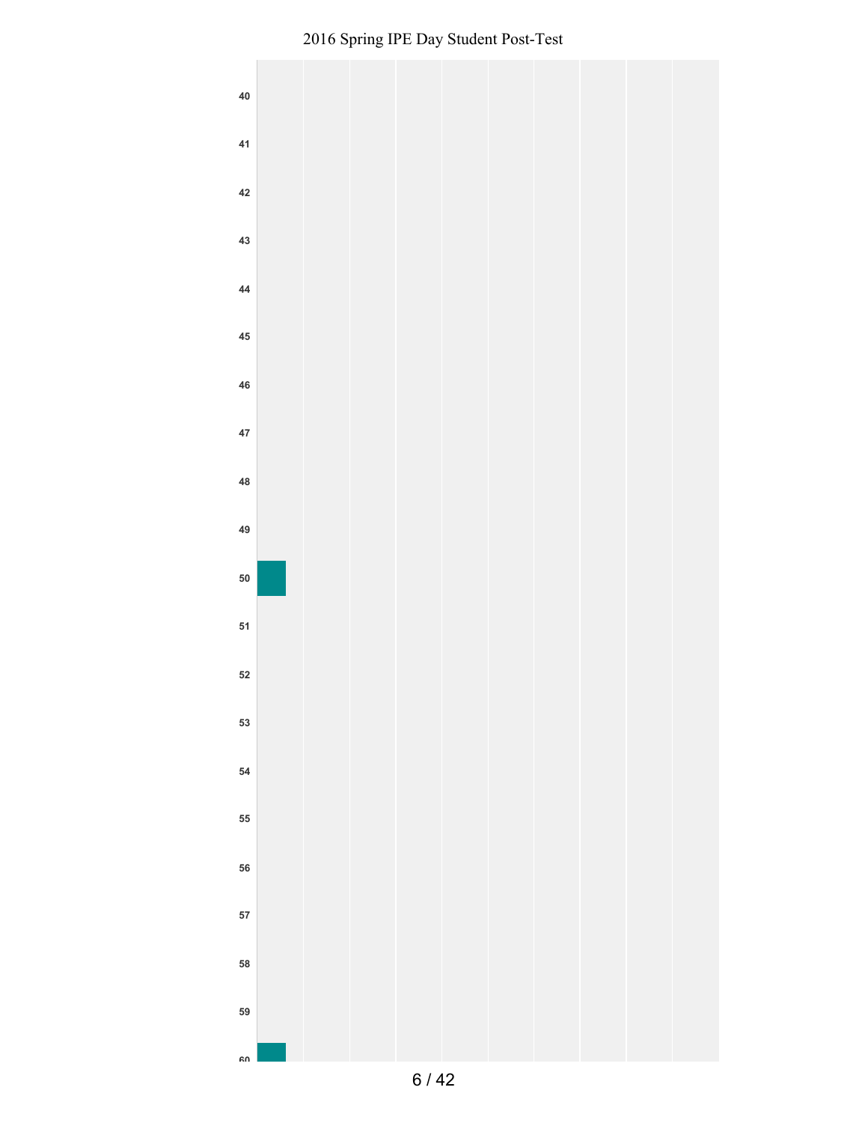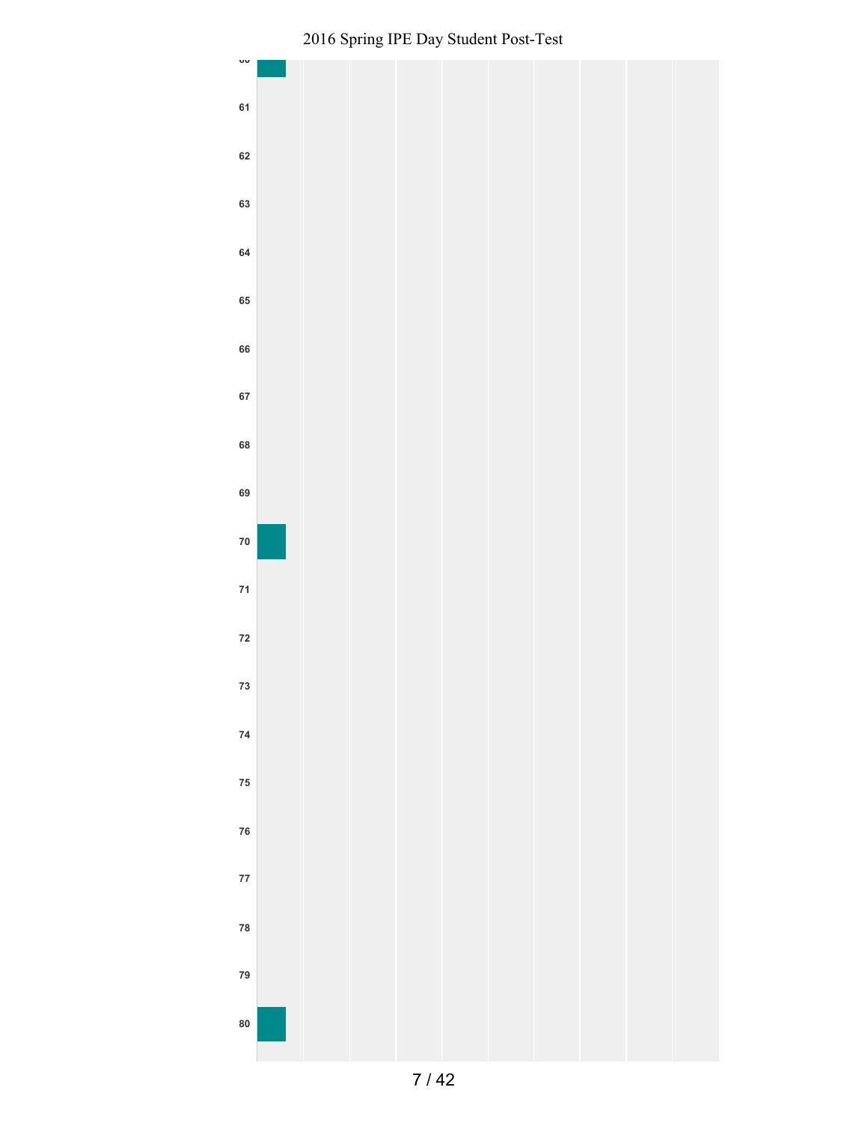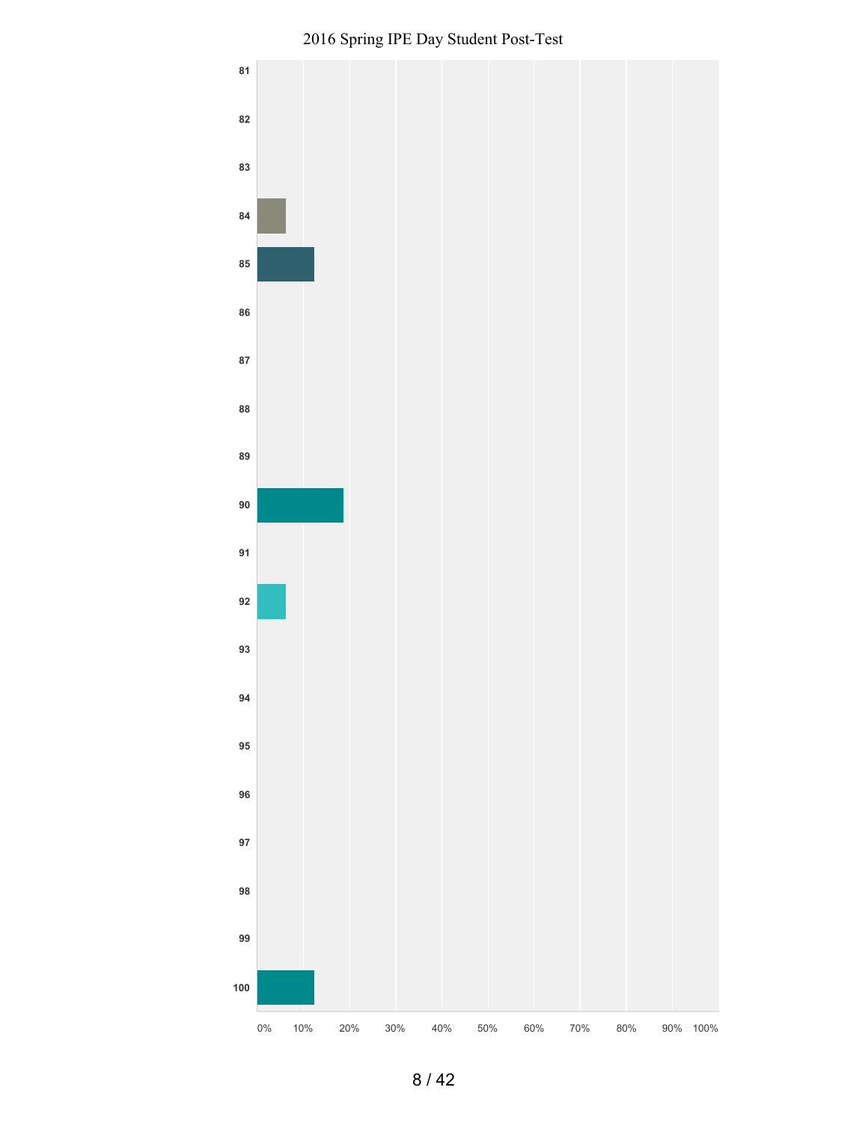

Spring IPE Day Student Post-Test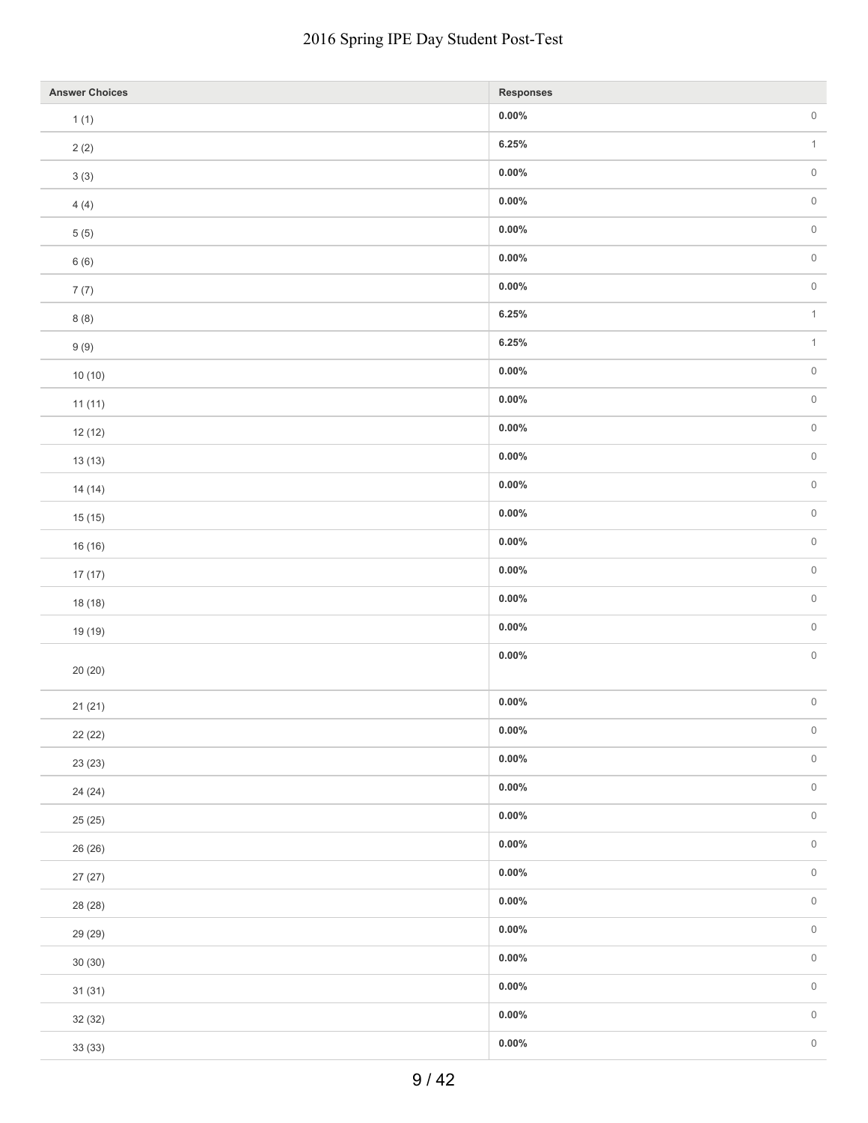#### tudent Post-Test

| <b>Answer Choices</b> | Responses |                     |
|-----------------------|-----------|---------------------|
| 1(1)                  | $0.00\%$  | $\,0\,$             |
| 2(2)                  | 6.25%     | $\mathbf{1}$        |
| 3(3)                  | $0.00\%$  | $\,0\,$             |
| 4(4)                  | $0.00\%$  | $\,0\,$             |
| $5(5)$                | $0.00\%$  | $\mathsf{O}\xspace$ |
| 6(6)                  | $0.00\%$  | $\,0\,$             |
| 7(7)                  | $0.00\%$  | $\,0\,$             |
| 8(8)                  | 6.25%     | $\uparrow$          |
| 9(9)                  | 6.25%     | $\mathbf{1}$        |
| 10(10)                | $0.00\%$  | $\,0\,$             |
| 11(11)                | $0.00\%$  | $\,0\,$             |
| 12(12)                | $0.00\%$  | $\,0\,$             |
| 13(13)                | $0.00\%$  | $\,0\,$             |
| 14(14)                | $0.00\%$  |                     |
| 15(15)                | $0.00\%$  | $\,0\,$             |
| 16 (16)               | $0.00\%$  | $\,0\,$             |
| 17(17)                | $0.00\%$  | $\,0\,$             |
| 18 (18)               | $0.00\%$  | $\,0\,$             |
| 19 (19)               | $0.00\%$  | $\,0\,$             |
|                       | $0.00\%$  |                     |
| 20 (20)               |           |                     |
| 21(21)                | $0.00\%$  | $\,0\,$             |
| 22 (22)               | $0.00\%$  | $\,0\,$             |
| 23 (23)               | $0.00\%$  | $\,0\,$             |
| 24 (24)               | $0.00\%$  | $\,0\,$             |
| 25(25)                | $0.00\%$  |                     |
| 26 (26)               | $0.00\%$  | $\,0\,$             |
| 27(27)                | $0.00\%$  | $\,0\,$             |
| 28 (28)               | $0.00\%$  |                     |
| 29 (29)               | $0.00\%$  |                     |
| 30(30)                | $0.00\%$  | $\,0\,$             |
| 31(31)                | $0.00\%$  |                     |
| 32 (32)               | $0.00\%$  | $\,0\,$             |
| 33 (33)               | $0.00\%$  | $\,0\,$             |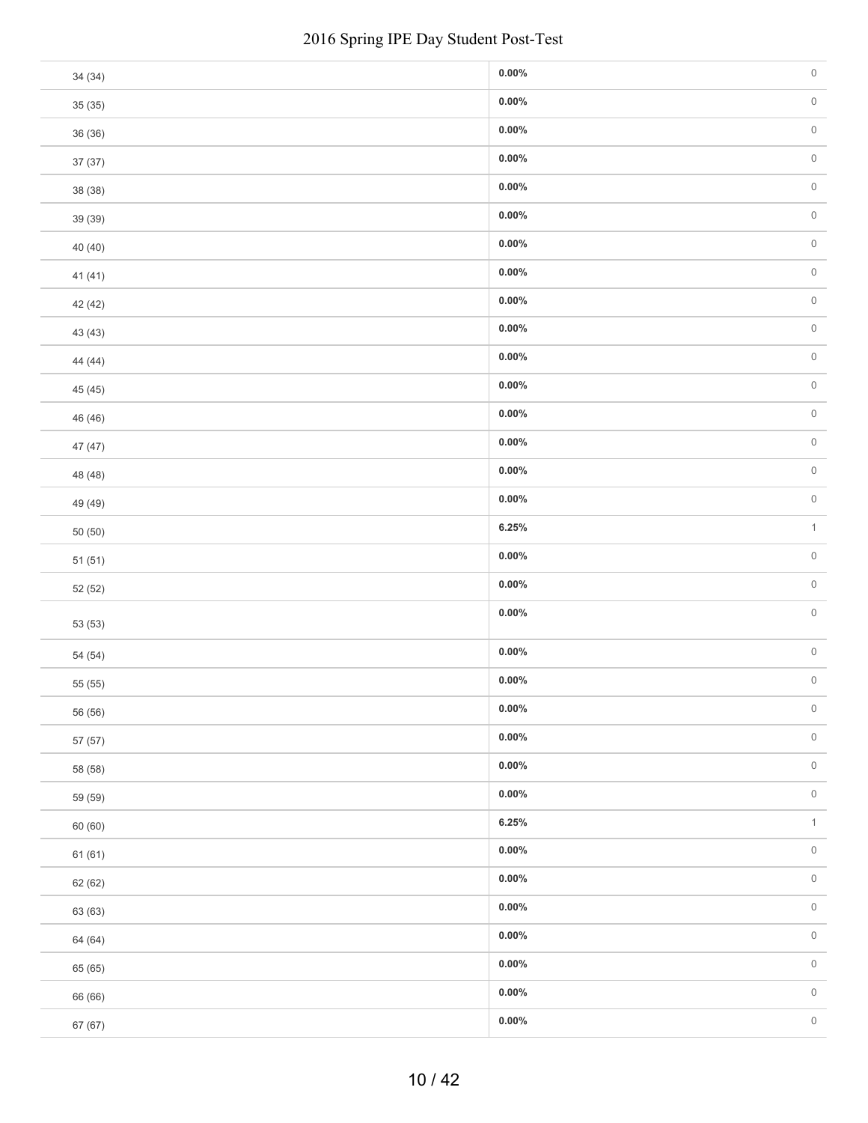|         | 2016 Spring IPE Day Student Post-Test |                     |
|---------|---------------------------------------|---------------------|
| 34 (34) | $0.00\%$                              | $\,0\,$             |
| 35 (35) | $0.00\%$                              | $\mathsf{O}\xspace$ |
| 36 (36) | $0.00\%$                              | $\,0\,$             |
| 37 (37) | $0.00\%$                              | $\,0\,$             |
| 38 (38) | $0.00\%$                              | $\mathsf{O}\xspace$ |
| 39 (39) | $0.00\%$                              | $\,0\,$             |
| 40(40)  | $0.00\%$                              | $\,0\,$             |
| 41(41)  | $0.00\%$                              | $\mathsf{O}\xspace$ |
| 42 (42) | $0.00\%$                              | $\,0\,$             |
| 43 (43) | $0.00\%$                              | $\,0\,$             |
| 44 (44) | $0.00\%$                              | $\,0\,$             |
| 45 (45) | $0.00\%$                              | $\,0\,$             |
| 46 (46) | $0.00\%$                              | $\mathsf{O}\xspace$ |
| 47 (47) | $0.00\%$                              | $\,0\,$             |
| 48 (48) | $0.00\%$                              | $\,0\,$             |
| 49 (49) | $0.00\%$                              | $\mathsf{O}\xspace$ |
| 50(50)  | 6.25%                                 | $\,1\,$             |
| 51(51)  | $0.00\%$                              | $\,0\,$             |
| 52 (52) | $0.00\%$                              | $\mathsf{O}\xspace$ |
| 53 (53) | $0.00\%$                              | $\mathsf{O}\xspace$ |
| 54 (54) | $0.00\%$                              | $\,0\,$             |
| 55 (55) | $0.00\%$                              | $\mathsf{O}\xspace$ |
| 56 (56) | $0.00\%$                              | $\mathsf{O}\xspace$ |
| 57 (57) | $0.00\%$                              | $\,0\,$             |
| 58 (58) | $0.00\%$                              | $\mathsf{O}\xspace$ |
| 59 (59) | $0.00\%$                              | $\,0\,$             |
| 60 (60) | 6.25%                                 | $\uparrow$          |
| 61(61)  | $0.00\%$                              |                     |
| 62 (62) | $0.00\%$                              | $\,0\,$             |
| 63 (63) | $0.00\%$                              | $\,0\,$             |
| 64 (64) | $0.00\%$                              |                     |
| 65 (65) | $0.00\%$                              | $\,0\,$             |
| 66 (66) | $0.00\%$                              |                     |
| 67 (67) | $0.00\%$                              |                     |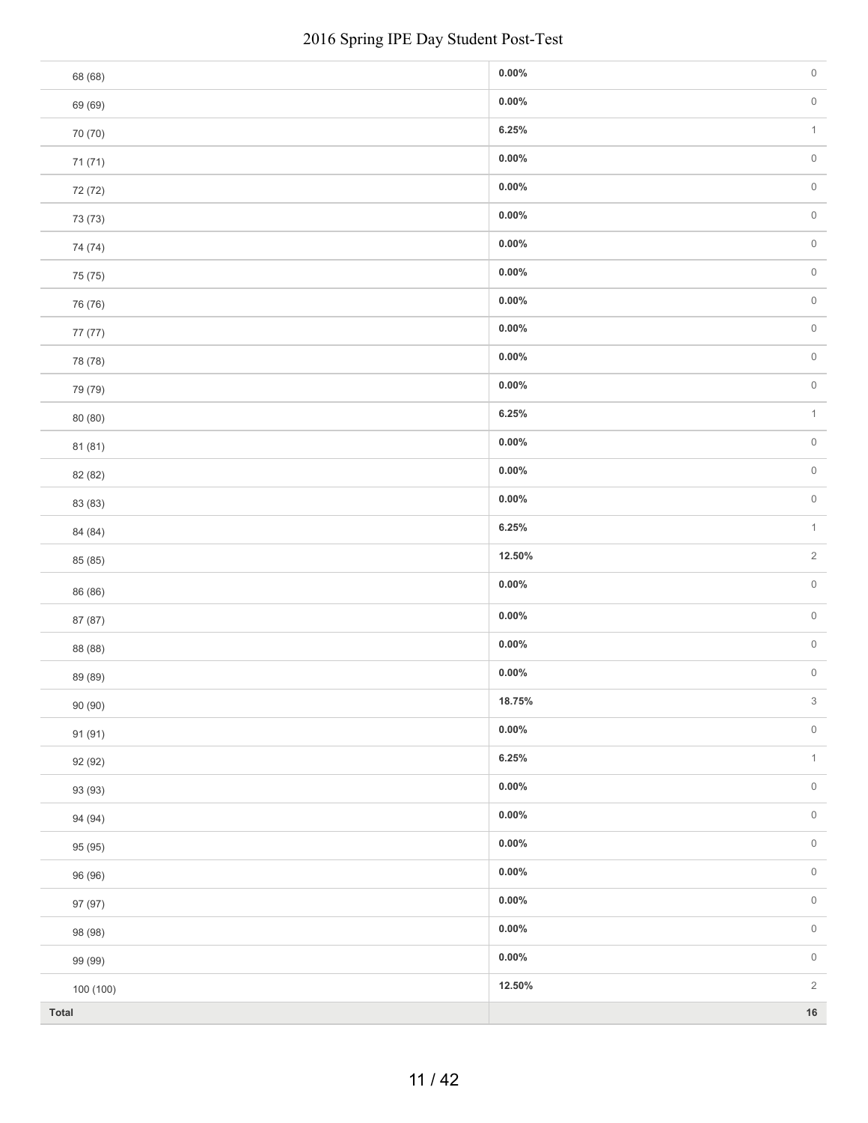|           | 2016 Spring IPE Day Student Post-Test |                     |
|-----------|---------------------------------------|---------------------|
| 68 (68)   | $0.00\%$                              | $\mathsf{O}$        |
| 69 (69)   | $0.00\%$                              | $\mathsf{O}\xspace$ |
| 70 (70)   | 6.25%                                 | $\,1\,$             |
| 71 (71)   | $0.00\%$                              | $\mathsf{O}$        |
| 72 (72)   | $0.00\%$                              | $\mathsf{O}\xspace$ |
| 73 (73)   | $0.00\%$                              | $\mathsf{O}$        |
| 74 (74)   | $0.00\%$                              | $\mathsf{O}$        |
| 75 (75)   | $0.00\%$                              | $\,0\,$             |
| 76 (76)   | $0.00\%$                              | $\,0\,$             |
| 77 (77)   | $0.00\%$                              | $\mathsf{O}\xspace$ |
| 78 (78)   | $0.00\%$                              | $\,0\,$             |
| 79 (79)   | $0.00\%$                              | $\,0\,$             |
| 80 (80)   | 6.25%                                 | $\uparrow$          |
| 81 (81)   | $0.00\%$                              | $\,0\,$             |
| 82 (82)   | $0.00\%$                              | $\,0\,$             |
| 83 (83)   | $0.00\%$                              | $\mathsf{O}\xspace$ |
| 84 (84)   | 6.25%                                 | $\uparrow$          |
| 85 (85)   | 12.50%                                | $\sqrt{2}$          |
| 86 (86)   | $0.00\%$                              | $\mathsf{O}\xspace$ |
| 87 (87)   | $0.00\%$                              | $\mathsf{O}\xspace$ |
| 88 (88)   | $0.00\%$                              |                     |
| 89 (89)   | $0.00\%$                              |                     |
| 90 (90)   | 18.75%                                |                     |
| 91 (91)   | $0.00\%$                              |                     |
| 92 (92)   | 6.25%                                 | $\mathbf{1}$        |
| 93 (93)   | $0.00\%$                              |                     |
| 94 (94)   | $0.00\%$                              |                     |
| 95 (95)   | $0.00\%$                              | $\mathsf{O}$        |
| 96 (96)   | $0.00\%$                              | $\mathsf{O}\xspace$ |
| 97 (97)   | $0.00\%$                              |                     |
| 98 (98)   | $0.00\%$                              | $\mathsf{O}$        |
| 99 (99)   | $0.00\%$                              | $\mathsf{O}$        |
| 100 (100) | 12.50%                                | $\overline{2}$      |
| Total     |                                       | $16\,$              |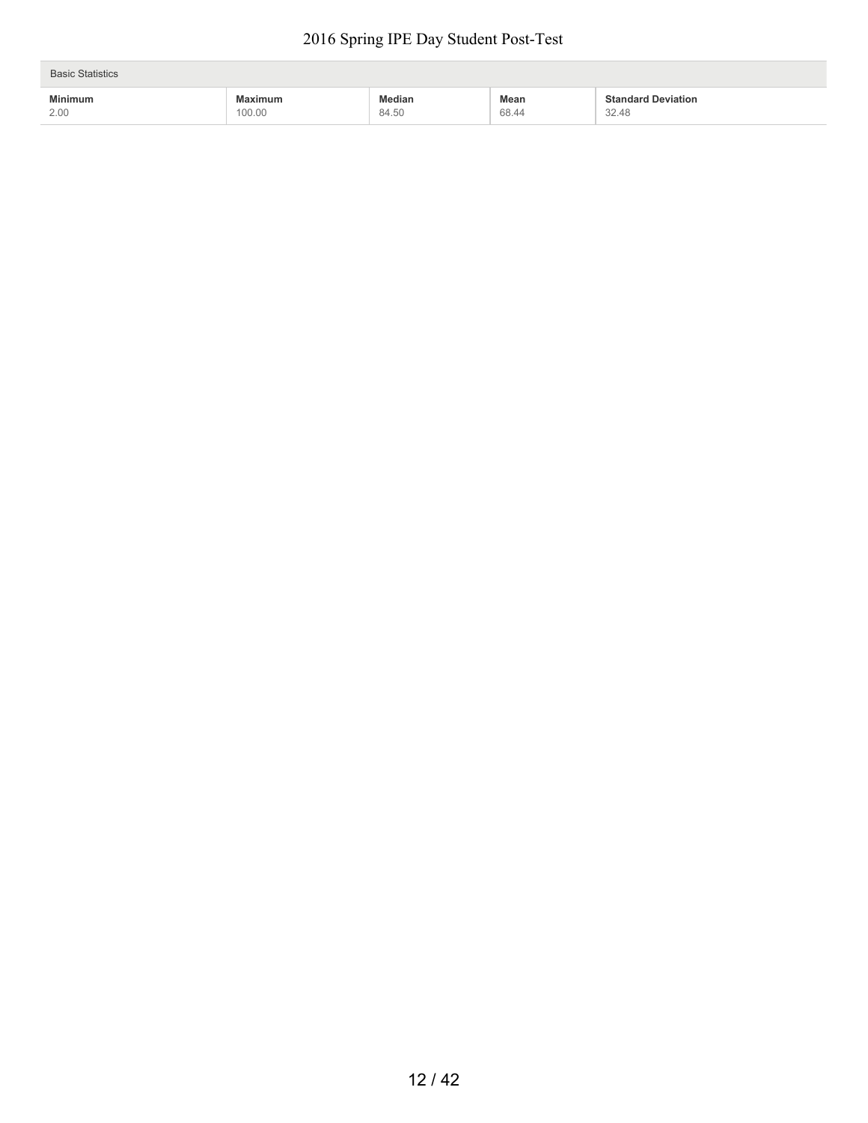| <b>Basic Statistics</b> |         |               |       |                           |
|-------------------------|---------|---------------|-------|---------------------------|
| <b>Minimum</b>          | Maximum | <b>Median</b> | Mean  | <b>Standard Deviation</b> |
| 2.00                    | 100.00  | 84.50         | 68.44 | 32.48                     |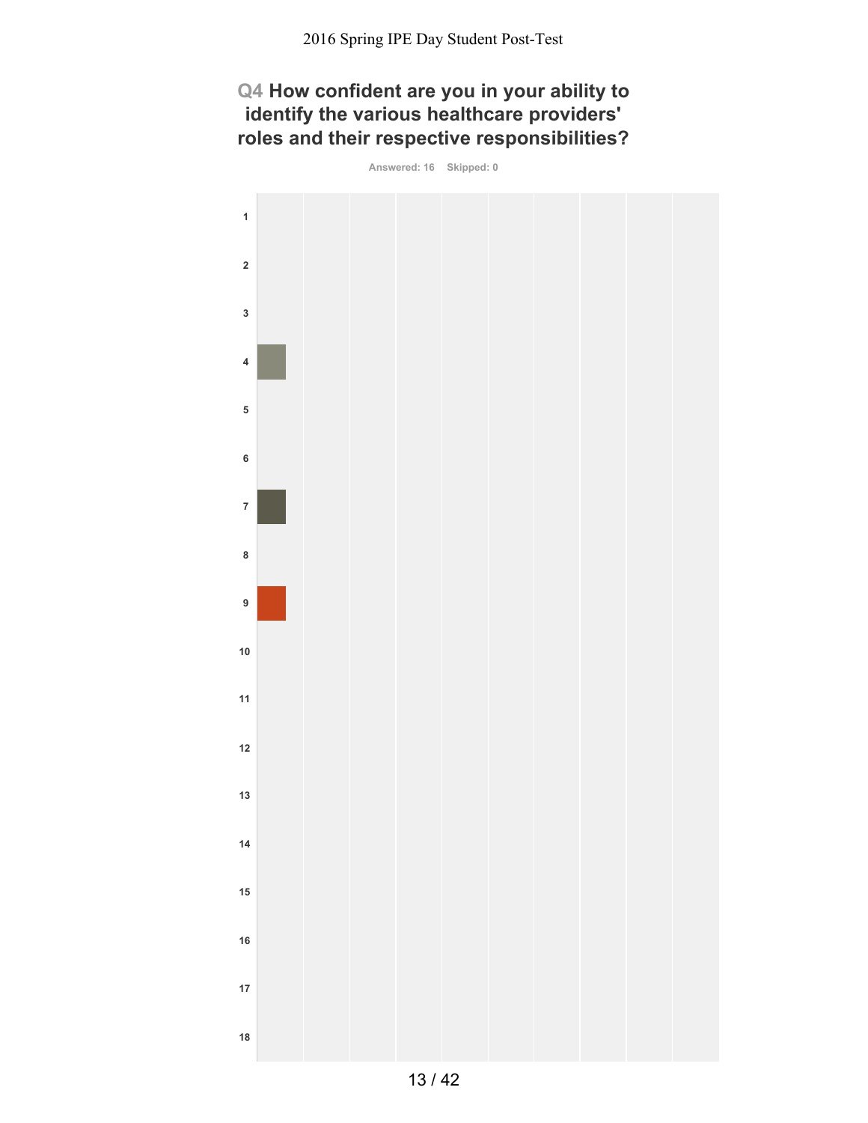# **Q4 How confident are you in your ability to identify the various healthcare providers' roles and their respective responsibilities?**

**Answered: 16 Skipped: 0**

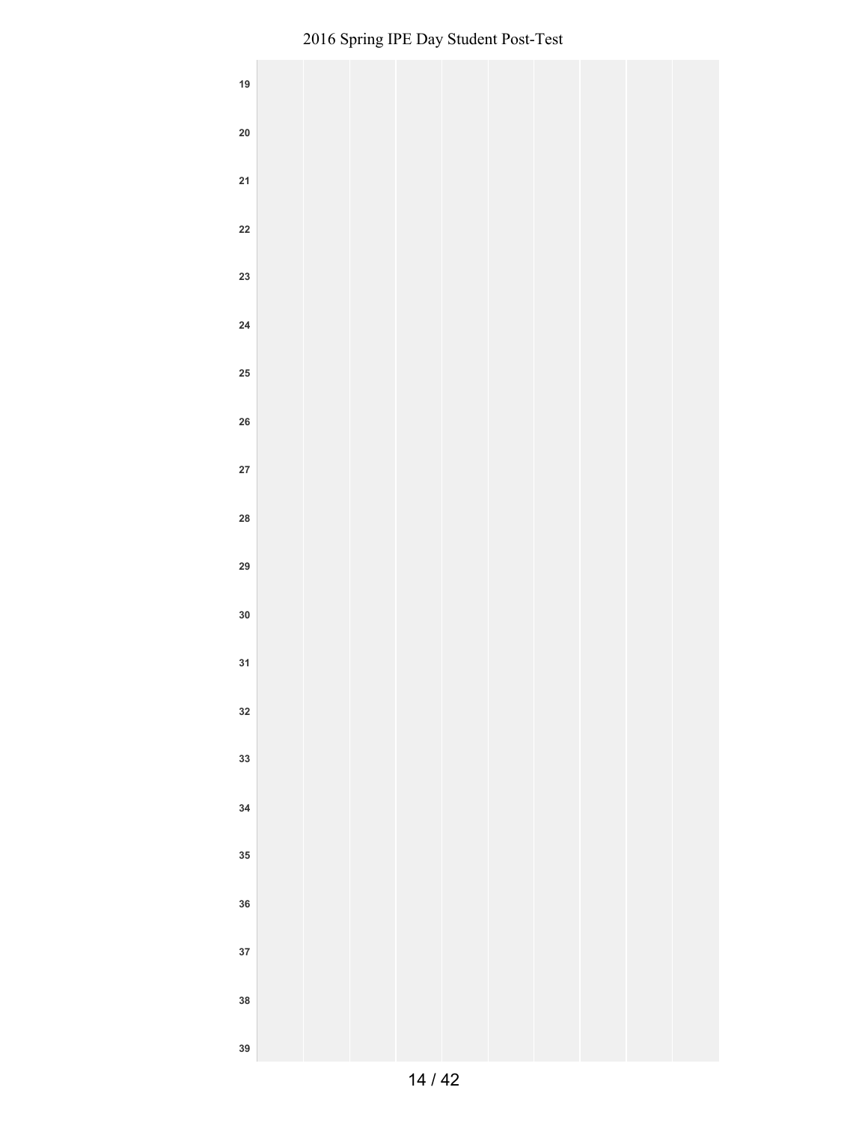| $19\,$     |  |  |  |  |  |
|------------|--|--|--|--|--|
| ${\bf 20}$ |  |  |  |  |  |
| 21         |  |  |  |  |  |
| 22         |  |  |  |  |  |
| 23         |  |  |  |  |  |
| ${\bf 24}$ |  |  |  |  |  |
| ${\bf 25}$ |  |  |  |  |  |
| ${\bf 26}$ |  |  |  |  |  |
| ${\bf 27}$ |  |  |  |  |  |
| 28         |  |  |  |  |  |
| 29         |  |  |  |  |  |
| 30         |  |  |  |  |  |
| 31         |  |  |  |  |  |
| ${\bf 32}$ |  |  |  |  |  |
| 33         |  |  |  |  |  |
| 34         |  |  |  |  |  |
| 35         |  |  |  |  |  |
| 36         |  |  |  |  |  |
| 37         |  |  |  |  |  |
| 38         |  |  |  |  |  |
| 39         |  |  |  |  |  |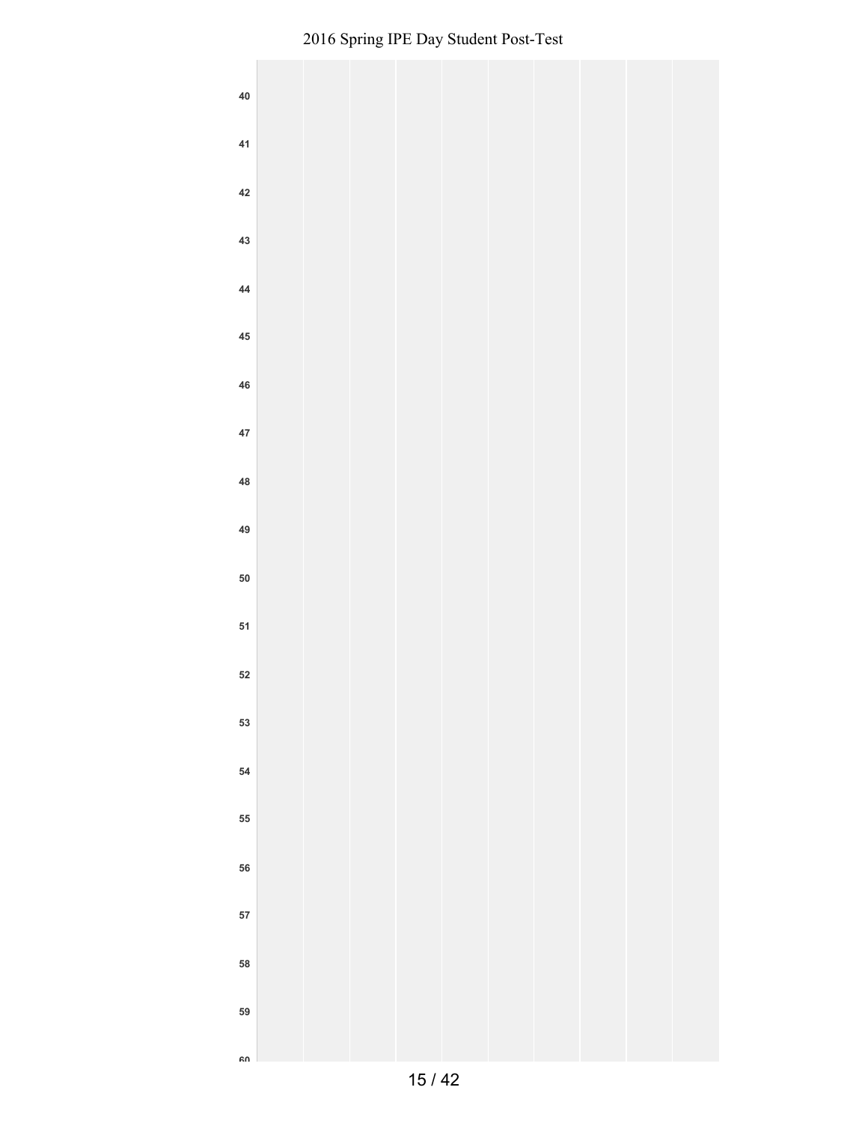| ${\bf 40}$ |  |  |  |  |  |
|------------|--|--|--|--|--|
| 41         |  |  |  |  |  |
| 42         |  |  |  |  |  |
| 43         |  |  |  |  |  |
| $\bf 44$   |  |  |  |  |  |
| $\bf 45$   |  |  |  |  |  |
| 46         |  |  |  |  |  |
| 47         |  |  |  |  |  |
| 48<br>49   |  |  |  |  |  |
| ${\bf 50}$ |  |  |  |  |  |
| 51         |  |  |  |  |  |
| 52         |  |  |  |  |  |
| 53         |  |  |  |  |  |
| ${\bf 54}$ |  |  |  |  |  |
| 55         |  |  |  |  |  |
| 56         |  |  |  |  |  |
| 57         |  |  |  |  |  |
| 58         |  |  |  |  |  |
| 59         |  |  |  |  |  |
| <b>CO</b>  |  |  |  |  |  |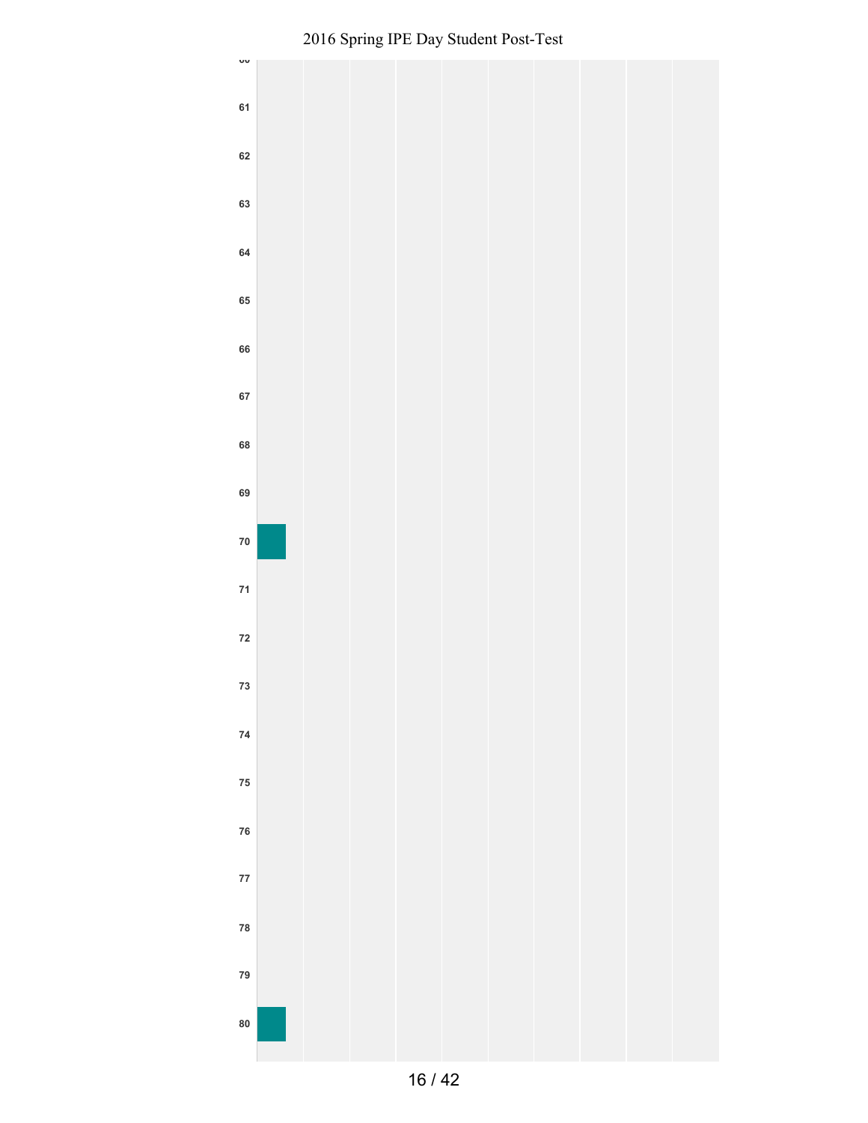

Spring IPE Day Student Post-Test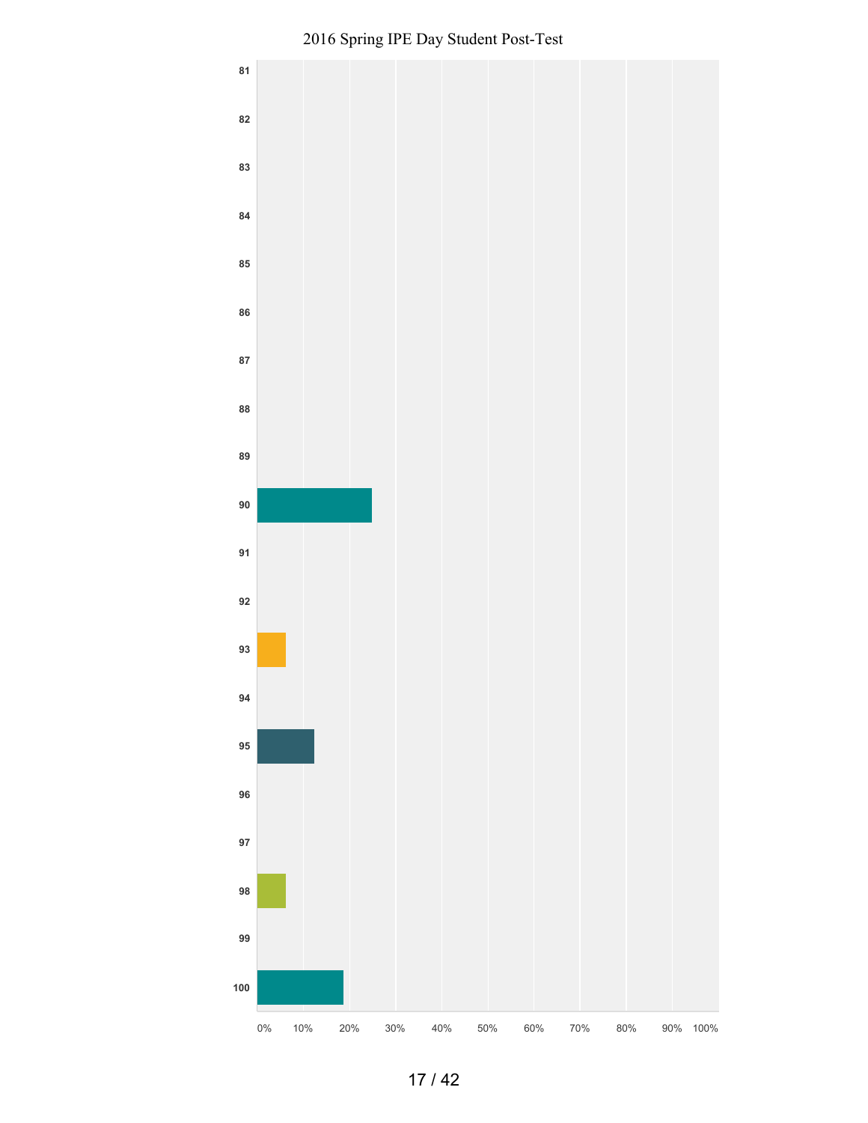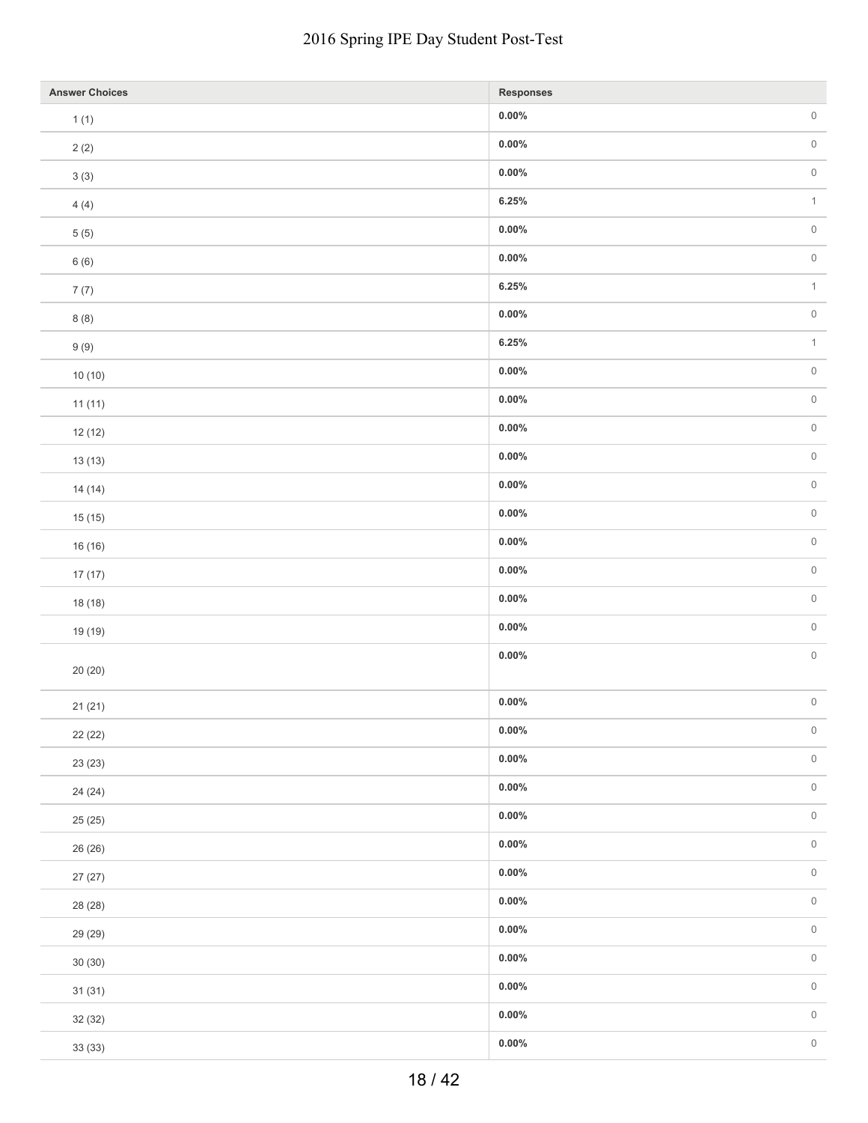#### dent Post-Test

| <b>Answer Choices</b> | Responses |                     |
|-----------------------|-----------|---------------------|
| 1(1)                  | $0.00\%$  | $\,0\,$             |
| 2(2)                  | $0.00\%$  | $\mathsf{O}\xspace$ |
| 3(3)                  | $0.00\%$  | $\,0\,$             |
| 4(4)                  | 6.25%     | $\mathbf{1}$        |
| $5(5)$                | $0.00\%$  | $\mathsf{O}\xspace$ |
| 6(6)                  | $0.00\%$  | $\,0\,$             |
| 7(7)                  | 6.25%     | $\mathbf{1}$        |
| 8(8)                  | $0.00\%$  | $\mathsf{O}\xspace$ |
| 9(9)                  | 6.25%     | $\mathbf{1}$        |
| 10(10)                | $0.00\%$  | $\,0\,$             |
| 11(11)                | $0.00\%$  | $\,0\,$             |
| 12(12)                | $0.00\%$  | $\,0\,$             |
| 13(13)                | $0.00\%$  | $\,0\,$             |
| 14(14)                | $0.00\%$  |                     |
| 15(15)                | $0.00\%$  | $\,0\,$             |
| 16 (16)               | $0.00\%$  | $\,0\,$             |
| 17(17)                | $0.00\%$  | $\,0\,$             |
| 18 (18)               | $0.00\%$  | $\,0\,$             |
| 19 (19)               | $0.00\%$  | $\,0\,$             |
|                       | $0.00\%$  |                     |
| 20 (20)               |           |                     |
| 21(21)                | $0.00\%$  | $\,0\,$             |
| 22 (22)               | $0.00\%$  | $\,0\,$             |
| 23 (23)               | $0.00\%$  | $\,0\,$             |
| 24 (24)               | $0.00\%$  | $\,0\,$             |
| 25(25)                | $0.00\%$  |                     |
| 26 (26)               | $0.00\%$  | $\,0\,$             |
| 27(27)                | $0.00\%$  | $\,0\,$             |
| 28 (28)               | $0.00\%$  |                     |
| 29 (29)               | $0.00\%$  |                     |
| 30(30)                | $0.00\%$  | $\,0\,$             |
| 31(31)                | $0.00\%$  |                     |
| 32 (32)               | $0.00\%$  | $\,0\,$             |
| 33 (33)               | $0.00\%$  | $\,0\,$             |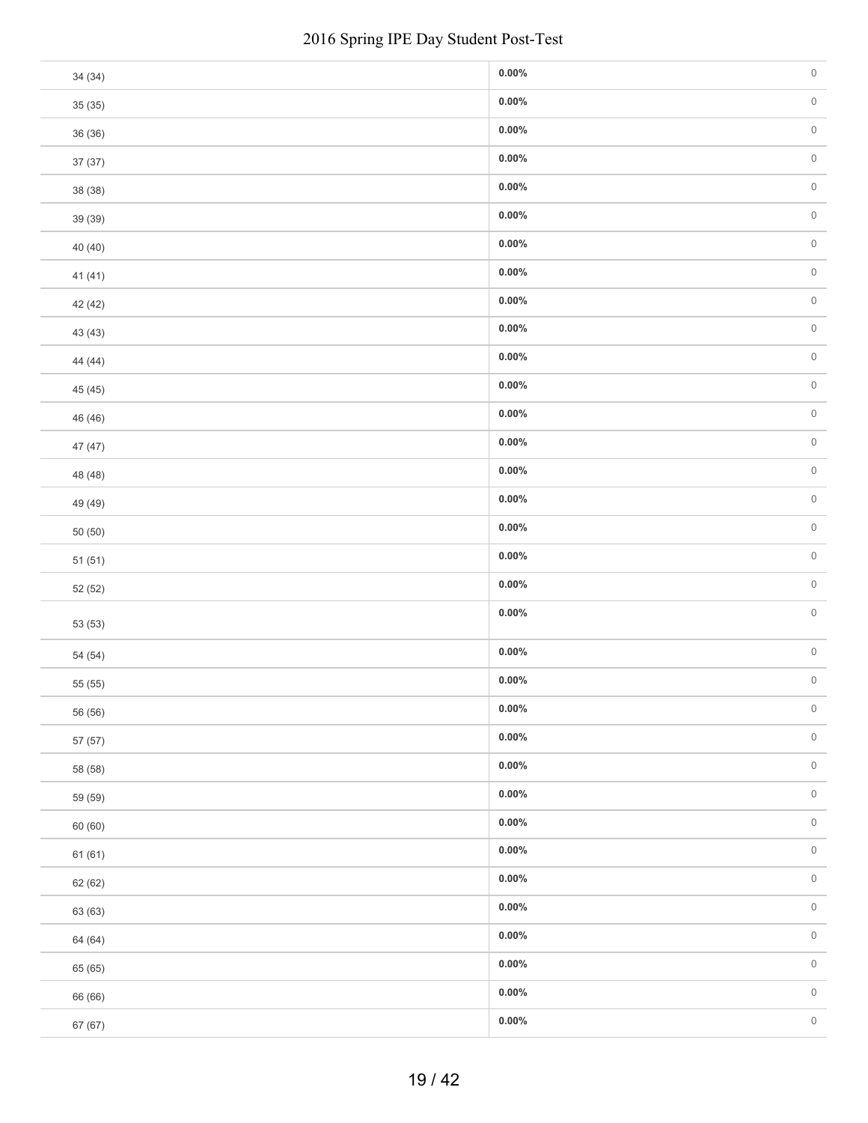|         | 2016 Spring IPE Day Student Post-Test |                     |
|---------|---------------------------------------|---------------------|
| 34 (34) | $0.00\%$                              | $\,0\,$             |
| 35 (35) | $0.00\%$                              | $\mathsf{O}\xspace$ |
| 36 (36) | $0.00\%$                              | $\,0\,$             |
| 37 (37) | $0.00\%$                              | $\,0\,$             |
| 38 (38) | $0.00\%$                              | $\mathsf{O}\xspace$ |
| 39 (39) | $0.00\%$                              | $\,0\,$             |
| 40(40)  | $0.00\%$                              | $\,0\,$             |
| 41(41)  | $0.00\%$                              | $\mathsf{O}\xspace$ |
| 42 (42) | $0.00\%$                              | $\,0\,$             |
| 43 (43) | $0.00\%$                              | $\,0\,$             |
| 44 (44) | $0.00\%$                              | $\,0\,$             |
| 45 (45) | $0.00\%$                              | $\,0\,$             |
| 46 (46) | $0.00\%$                              | $\mathsf{O}\xspace$ |
| 47 (47) | $0.00\%$                              | $\,0\,$             |
| 48 (48) | $0.00\%$                              | $\,0\,$             |
| 49 (49) | $0.00\%$                              | $\mathsf{O}\xspace$ |
| 50(50)  | $0.00\%$                              | $\,0\,$             |
| 51(51)  | $0.00\%$                              | $\,0\,$             |
| 52 (52) | $0.00\%$                              | $\mathsf{O}\xspace$ |
| 53 (53) | $0.00\%$                              | $\mathsf{O}\xspace$ |
| 54 (54) | $0.00\%$                              | $\,0\,$             |
| 55 (55) | $0.00\%$                              | $\mathsf{O}\xspace$ |
| 56 (56) | $0.00\%$                              | $\mathsf{O}\xspace$ |
| 57 (57) | $0.00\%$                              | $\,0\,$             |
| 58 (58) | $0.00\%$                              | $\mathsf{O}\xspace$ |
| 59 (59) | $0.00\%$                              | $\,0\,$             |
| 60 (60) | $0.00\%$                              | $\,0\,$             |
| 61(61)  | $0.00\%$                              | $\mathsf{O}\xspace$ |
| 62 (62) | $0.00\%$                              | $\,0\,$             |
| 63 (63) | $0.00\%$                              | $\,0\,$             |
| 64 (64) | $0.00\%$                              | $\mathsf{O}\xspace$ |
| 65 (65) | $0.00\%$                              | $\,0\,$             |
| 66 (66) | $0.00\%$                              | $\mathsf{O}\xspace$ |
| 67 (67) | $0.00\%$                              | $\mathsf{O}\xspace$ |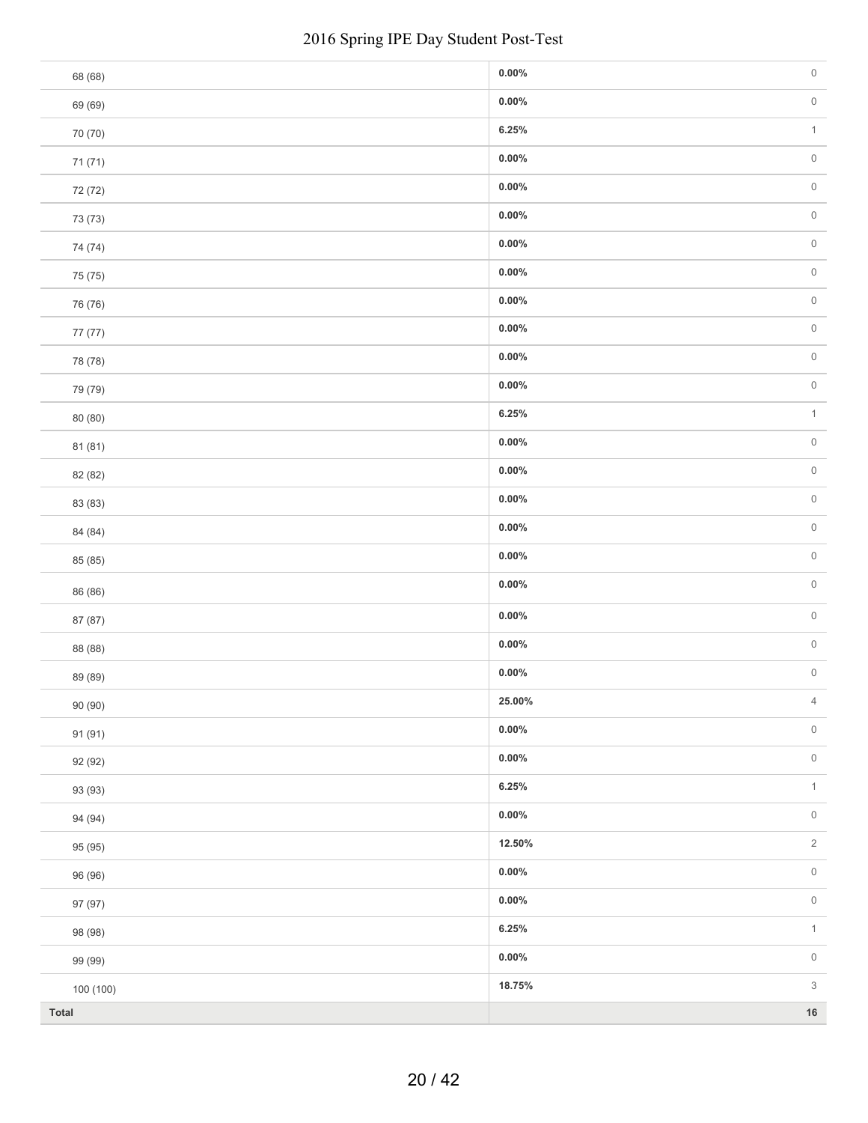|           | 2016 Spring IPE Day Student Post-Test |                           |
|-----------|---------------------------------------|---------------------------|
| 68 (68)   | $0.00\%$                              | $\mathsf{O}$              |
| 69 (69)   | $0.00\%$                              | $\mathsf{O}\xspace$       |
| 70 (70)   | 6.25%                                 | $\,1\,$                   |
| 71 (71)   | $0.00\%$                              | $\mathsf{O}$              |
| 72 (72)   | $0.00\%$                              | $\mathsf{O}\xspace$       |
| 73 (73)   | $0.00\%$                              | $\mathsf{O}$              |
| 74 (74)   | $0.00\%$                              | $\mathsf{O}$              |
| 75 (75)   | $0.00\%$                              | $\,0\,$                   |
| 76 (76)   | $0.00\%$                              | $\,0\,$                   |
| 77 (77)   | $0.00\%$                              | $\mathsf{O}\xspace$       |
| 78 (78)   | $0.00\%$                              | $\,0\,$                   |
| 79 (79)   | $0.00\%$                              | $\,0\,$                   |
| 80 (80)   | 6.25%                                 | $\mathbf{1}$              |
| 81 (81)   | $0.00\%$                              | $\,0\,$                   |
| 82 (82)   | $0.00\%$                              | $\,0\,$                   |
| 83 (83)   | $0.00\%$                              | $\mathsf{O}\xspace$       |
| 84 (84)   | $0.00\%$                              | $\,0\,$                   |
| 85 (85)   | $0.00\%$                              | $\,0\,$                   |
| 86 (86)   | $0.00\%$                              | $\mathsf{O}\xspace$       |
| 87 (87)   | $0.00\%$                              | $\mathsf{O}\xspace$       |
| 88 (88)   | $0.00\%$                              | $\,0\,$                   |
| 89 (89)   | $0.00\%$                              | $\overline{0}$            |
| 90 (90)   | 25.00%                                | $\overline{4}$            |
| 91 (91)   | $0.00\%$                              | $\mathsf{O}\xspace$       |
| 92 (92)   | $0.00\%$                              | $\mathbb O$               |
| 93 (93)   | 6.25%                                 | $\,1\,$                   |
| 94 (94)   | $0.00\%$                              | $\mathsf{O}\xspace$       |
| 95 (95)   | 12.50%                                | $\sqrt{2}$                |
| 96 (96)   | $0.00\%$                              | $\mathsf{O}\xspace$       |
| 97 (97)   | $0.00\%$                              | $\mathsf{O}\xspace$       |
| 98 (98)   | 6.25%                                 | $\mathbf{1}$              |
| 99 (99)   | $0.00\%$                              | $\mathbb O$               |
| 100 (100) | 18.75%                                | $\ensuremath{\mathsf{3}}$ |
| Total     |                                       | $16\,$                    |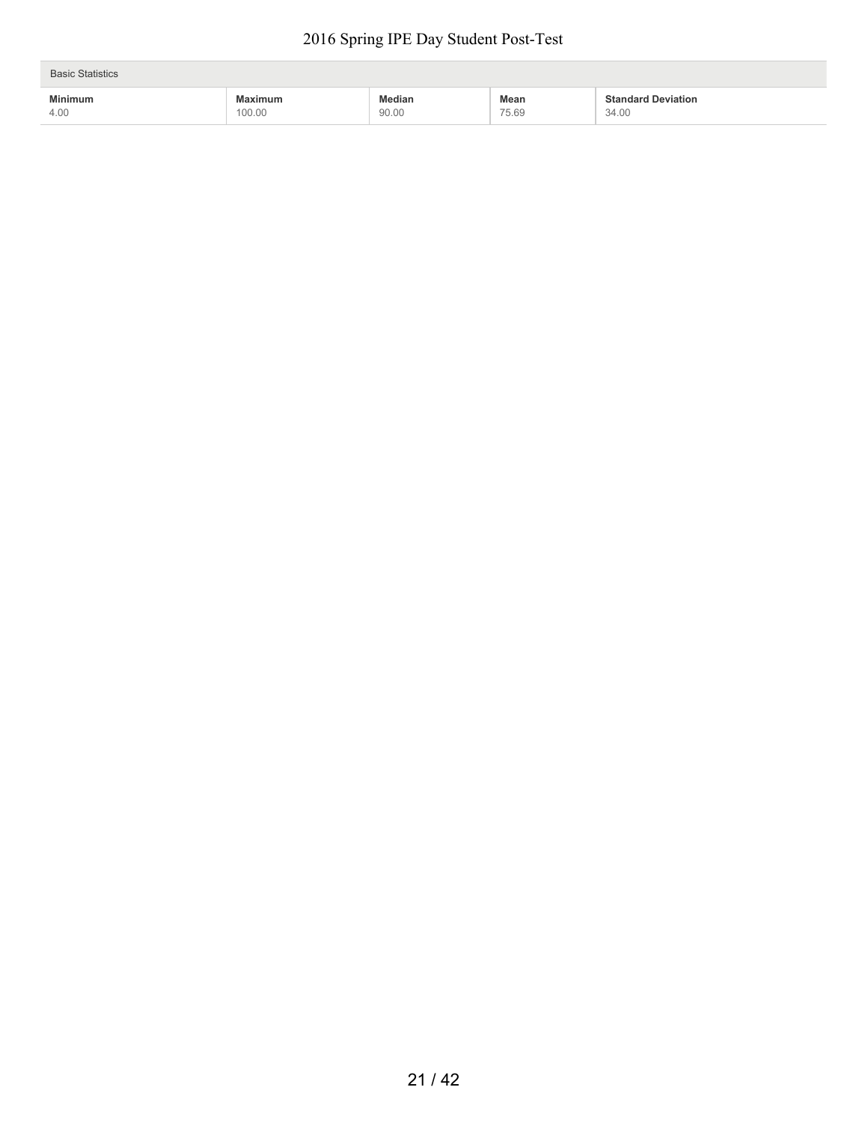| <b>Basic Statistics</b> |         |        |             |                           |
|-------------------------|---------|--------|-------------|---------------------------|
| <b>Minimum</b>          | Maximum | Median | <b>Mean</b> | <b>Standard Deviation</b> |
| 4.00                    | 100.00  | 90.00  | 75.69       | 34.00                     |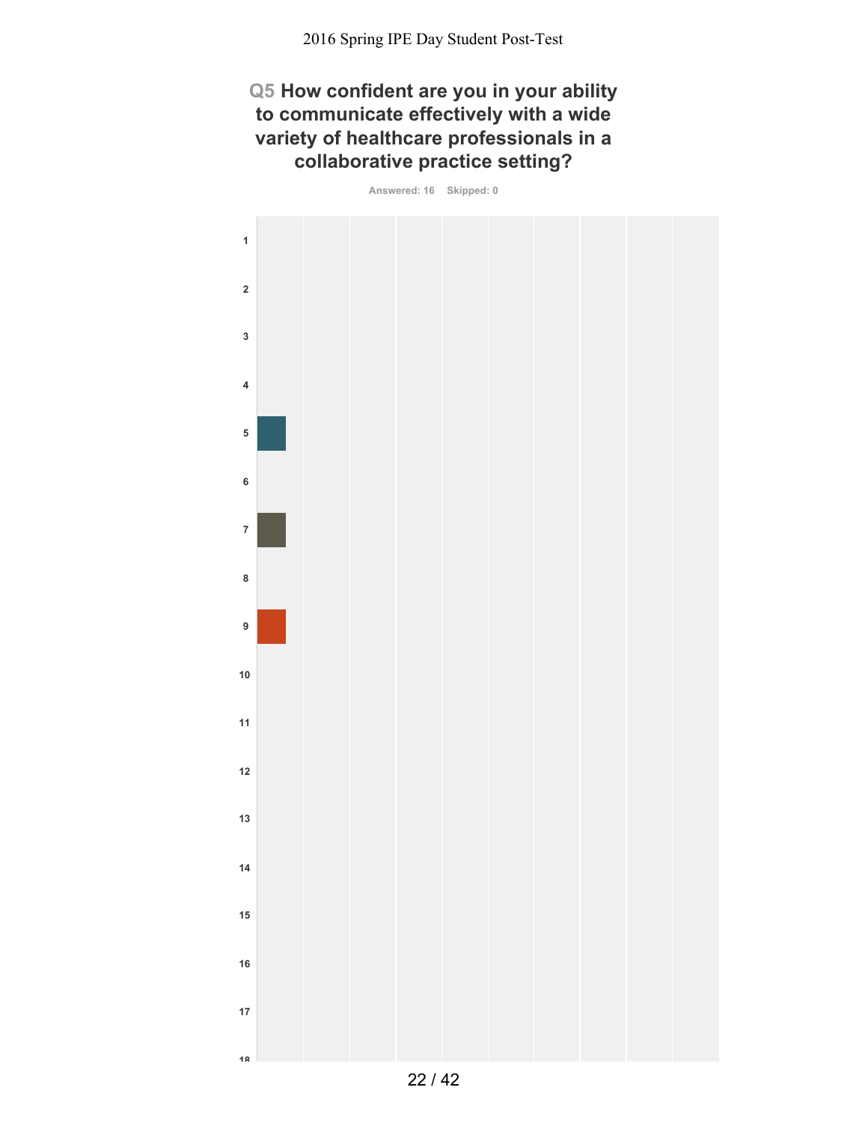# **Q5 How confident are you in your ability to communicate effectively with a wide variety of healthcare professionals in a collaborative practice setting?**

**Answered: 16 Skipped: 0**

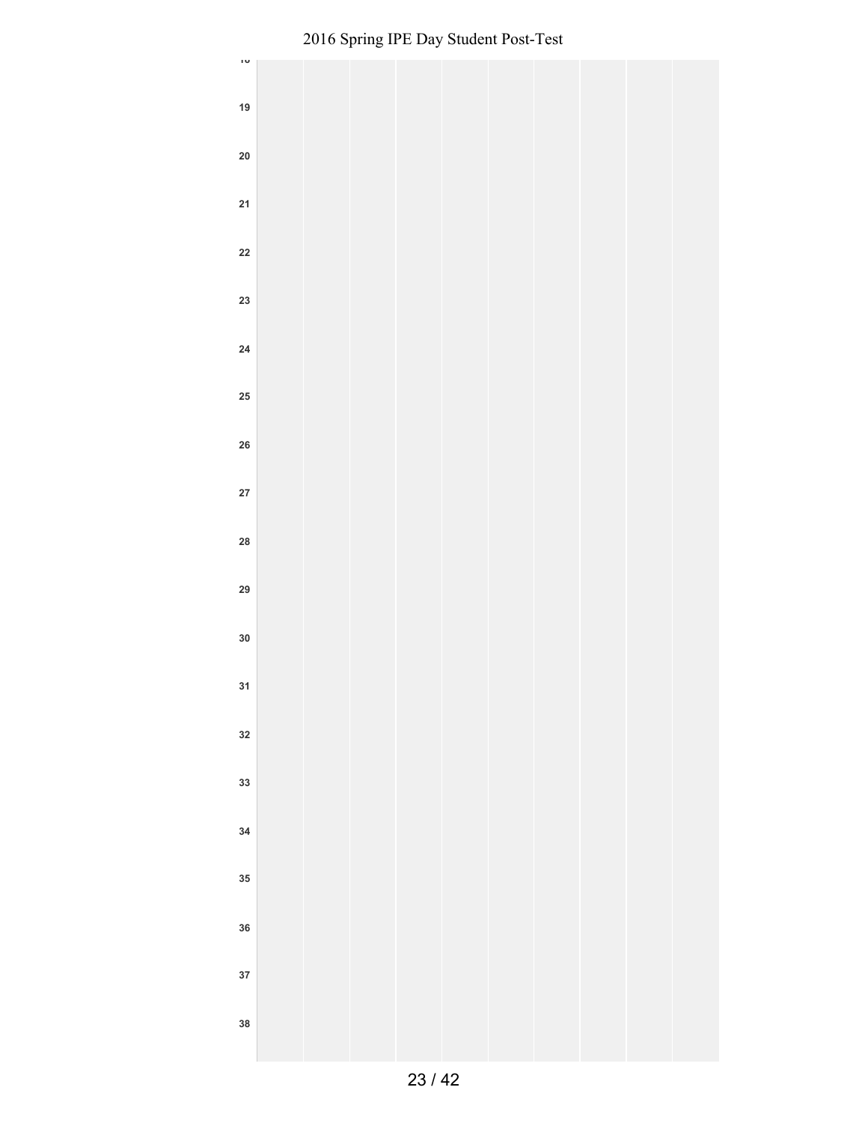#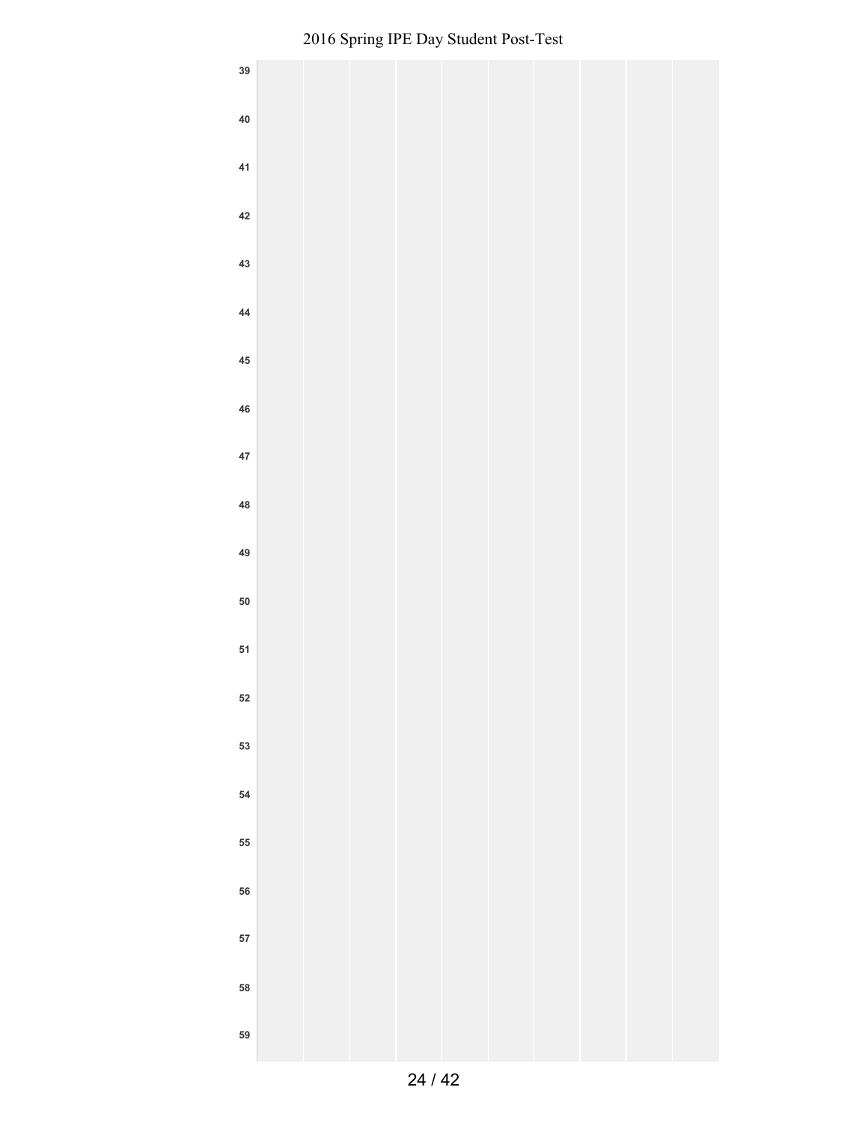| 39         |  |  |  |  |  |
|------------|--|--|--|--|--|
| 40         |  |  |  |  |  |
| 41         |  |  |  |  |  |
| 42         |  |  |  |  |  |
| 43         |  |  |  |  |  |
| $\bf 44$   |  |  |  |  |  |
| 45         |  |  |  |  |  |
| 46         |  |  |  |  |  |
| 47         |  |  |  |  |  |
| 48         |  |  |  |  |  |
| 49         |  |  |  |  |  |
| ${\bf 50}$ |  |  |  |  |  |
| 51         |  |  |  |  |  |
| 52         |  |  |  |  |  |
| 53         |  |  |  |  |  |
| ${\bf 54}$ |  |  |  |  |  |
| 55         |  |  |  |  |  |
| 56         |  |  |  |  |  |
| 57         |  |  |  |  |  |
| 58         |  |  |  |  |  |
| 59         |  |  |  |  |  |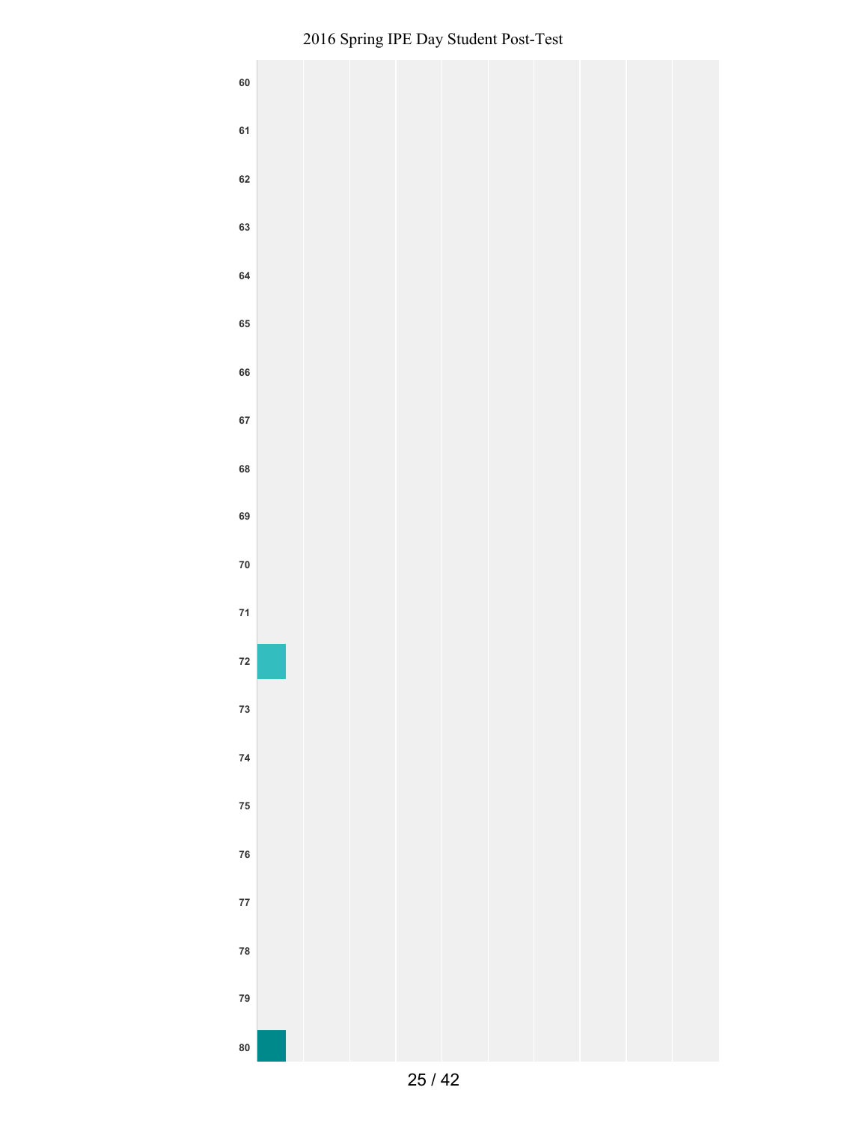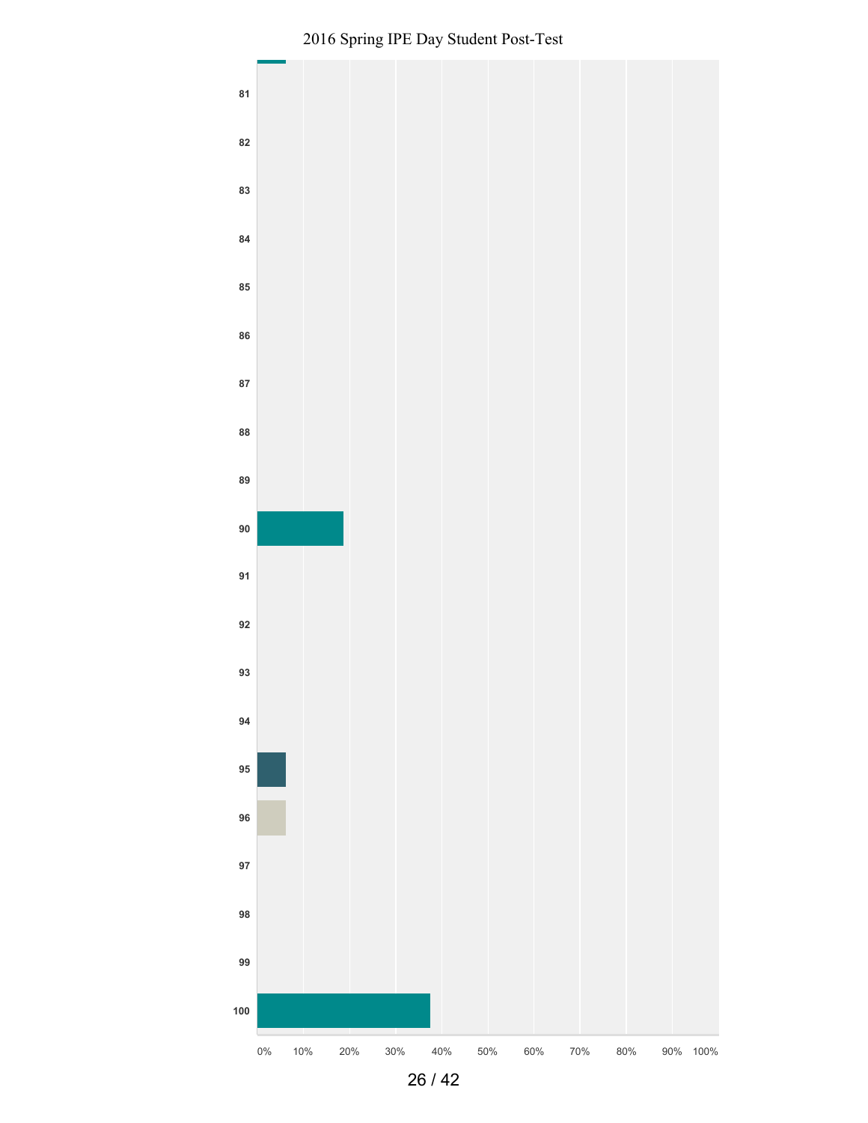

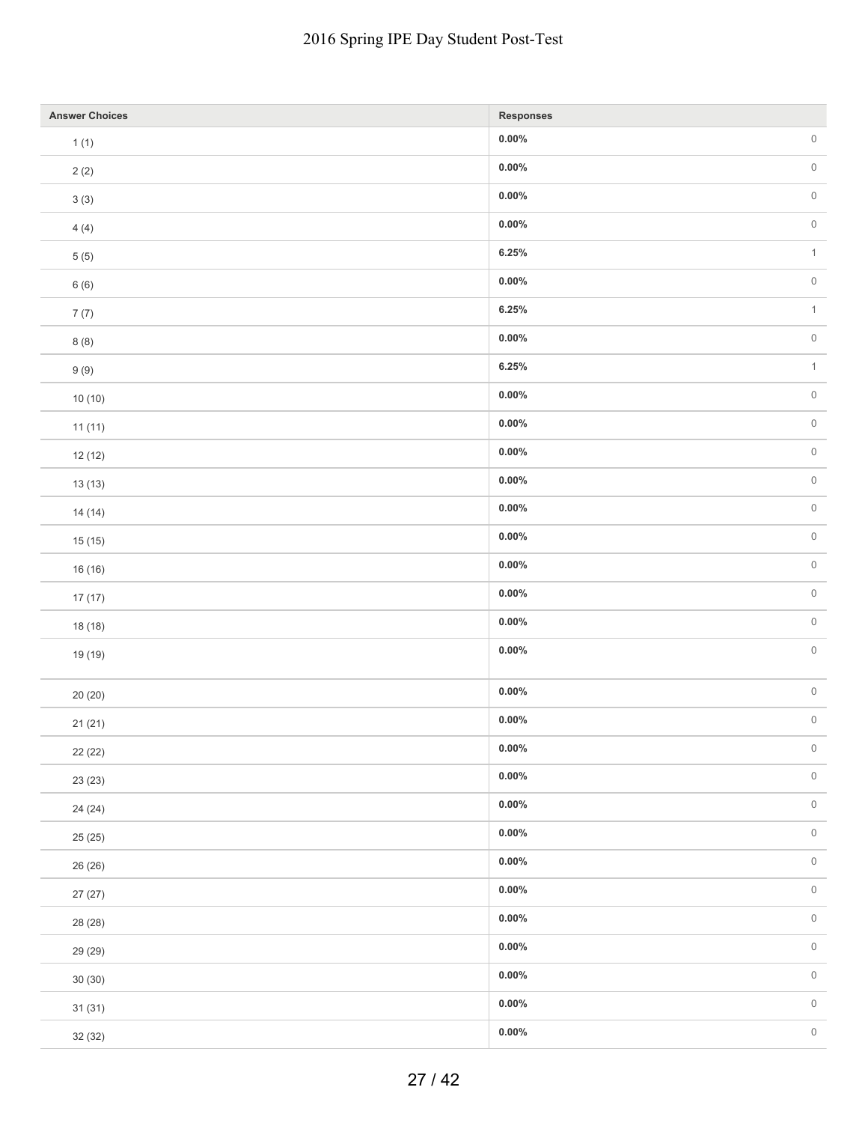#### dent Post-Test

| <b>Answer Choices</b> | Responses |  |
|-----------------------|-----------|--|
| 1(1)                  | $0.00\%$  |  |
| 2(2)                  | $0.00\%$  |  |
| 3(3)                  | $0.00\%$  |  |
| 4(4)                  | $0.00\%$  |  |
| $5(5)$                | 6.25%     |  |
| 6(6)                  | $0.00\%$  |  |
| 7(7)                  | 6.25%     |  |
| 8(8)                  | $0.00\%$  |  |
| 9(9)                  | 6.25%     |  |
| 10(10)                | $0.00\%$  |  |
| 11(11)                | $0.00\%$  |  |
| 12(12)                | $0.00\%$  |  |
| 13(13)                | $0.00\%$  |  |
| 14(14)                | $0.00\%$  |  |
| 15(15)                | $0.00\%$  |  |
| 16 (16)               | $0.00\%$  |  |
| 17(17)                | $0.00\%$  |  |
| 18 (18)               | $0.00\%$  |  |
| 19 (19)               | $0.00\%$  |  |
| 20(20)                | $0.00\%$  |  |
| 21(21)                | $0.00\%$  |  |
| 22 (22)               | $0.00\%$  |  |
| 23 (23)               | $0.00\%$  |  |
| 24 (24)               | $0.00\%$  |  |
| 25(25)                | $0.00\%$  |  |
| 26 (26)               | $0.00\%$  |  |
| 27(27)                | $0.00\%$  |  |
| 28 (28)               | $0.00\%$  |  |
| 29 (29)               | $0.00\%$  |  |
| 30(30)                | $0.00\%$  |  |
| 31(31)                | $0.00\%$  |  |
| 32 (32)               | $0.00\%$  |  |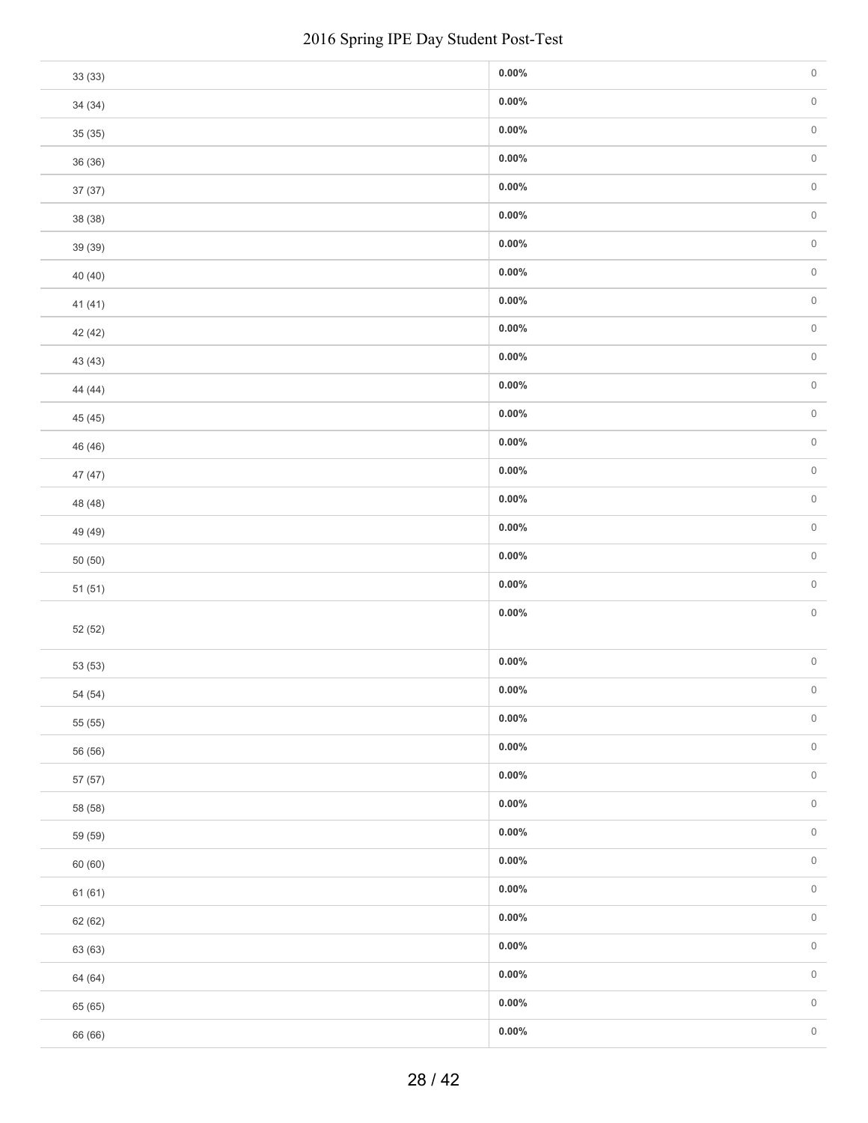| 33 (33) | $0.00\%$ | $\,0\,$             |
|---------|----------|---------------------|
| 34 (34) | $0.00\%$ | $\mathsf{O}\xspace$ |
| 35 (35) | $0.00\%$ | $\,0\,$             |
| 36 (36) | $0.00\%$ | $\,0\,$             |
| 37 (37) | $0.00\%$ | $\mathsf{O}\xspace$ |
| 38 (38) | $0.00\%$ | $\,0\,$             |
| 39 (39) | $0.00\%$ | $\mathsf{O}$        |
| 40 (40) | $0.00\%$ | $\mathsf{O}\xspace$ |
| 41 (41) | $0.00\%$ | $\,0\,$             |
| 42 (42) | $0.00\%$ | $\,0\,$             |
| 43 (43) | $0.00\%$ | $\,0\,$             |
| 44 (44) | $0.00\%$ | $\,0\,$             |
| 45 (45) | $0.00\%$ | $\mathsf{O}\xspace$ |
| 46 (46) | $0.00\%$ | $\,0\,$             |
| 47 (47) | $0.00\%$ | $\,0\,$             |
| 48 (48) | $0.00\%$ | $\mathsf{O}\xspace$ |
| 49 (49) | $0.00\%$ | $\,0\,$             |
| 50(50)  | $0.00\%$ | $\,0\,$             |
| 51(51)  | $0.00\%$ | $\,0\,$             |
| 52 (52) | $0.00\%$ | $\mathsf{O}\xspace$ |
| 53 (53) | $0.00\%$ | $\mathsf{O}\xspace$ |
| 54 (54) | $0.00\%$ | $\,0\,$             |
| 55 (55) | $0.00\%$ | $\,0\,$             |
| 56 (56) | $0.00\%$ | $\mathsf{O}\xspace$ |
| 57 (57) | $0.00\%$ | $\mathsf{O}$        |
| 58 (58) | $0.00\%$ | $\,0\,$             |
| 59 (59) | $0.00\%$ | $\mathsf{O}\xspace$ |
| 60 (60) | $0.00\%$ | $\mathsf{O}$        |
| 61(61)  | $0.00\%$ | $\,0\,$             |
| 62 (62) | $0.00\%$ | $\mathsf{O}\xspace$ |
| 63 (63) | $0.00\%$ | $\mathsf{O}$        |
| 64 (64) | $0.00\%$ | $\,0\,$             |
| 65 (65) | $0.00\%$ | $\,0\,$             |
| 66 (66) | $0.00\%$ | $\mathbb O$         |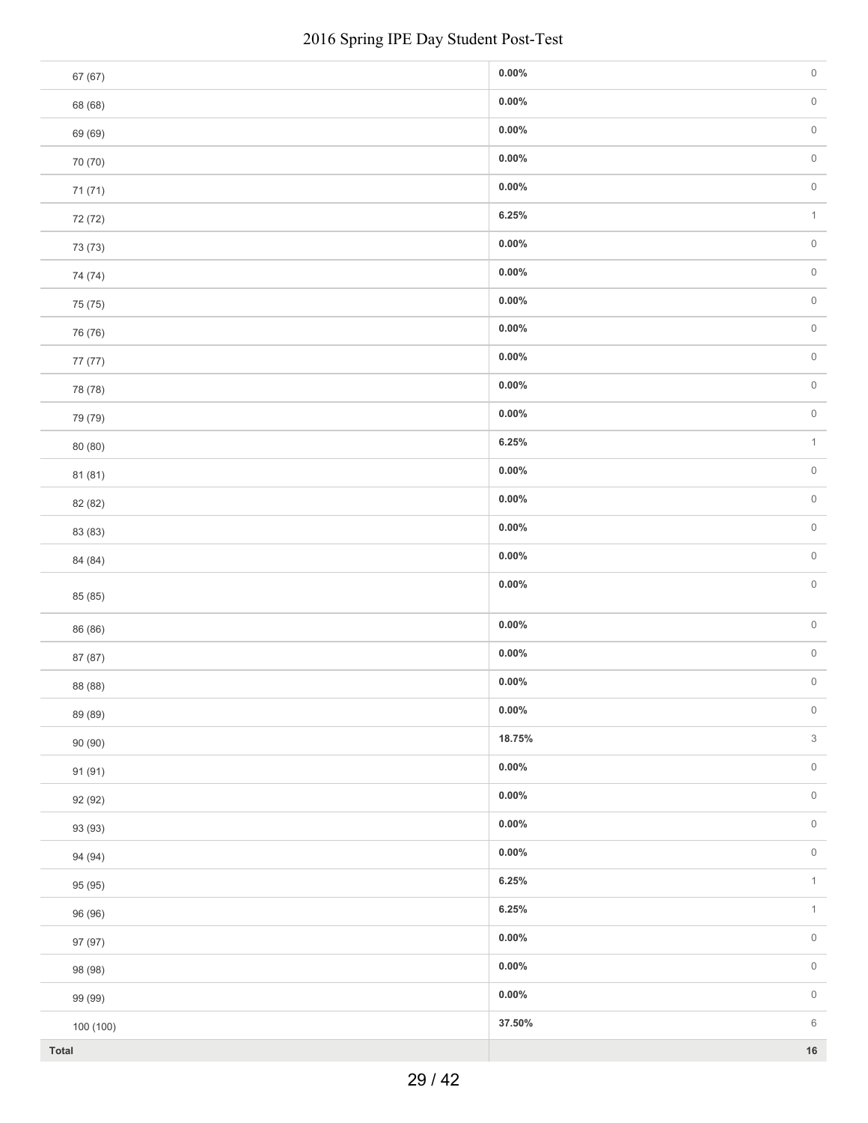|           | 2016 Spring IPE Day Student Post-Test |          |                     |
|-----------|---------------------------------------|----------|---------------------|
| 67 (67)   |                                       | $0.00\%$ | $\mathsf{O}\xspace$ |
| 68 (68)   |                                       | $0.00\%$ | $\mathsf{O}\xspace$ |
| 69 (69)   |                                       | $0.00\%$ | $\mathsf{O}\xspace$ |
| 70 (70)   |                                       | $0.00\%$ | $\mathsf{O}\xspace$ |
| 71 (71)   |                                       | $0.00\%$ | $\mathsf{O}\xspace$ |
| 72 (72)   |                                       | 6.25%    | $\uparrow$          |
| 73 (73)   |                                       | $0.00\%$ | $\mathsf{O}\xspace$ |
| 74 (74)   |                                       | $0.00\%$ | $\mathsf{O}\xspace$ |
| 75 (75)   |                                       | $0.00\%$ | $\mathsf{O}\xspace$ |
| 76 (76)   |                                       | $0.00\%$ | $\mathsf{O}\xspace$ |
| 77 (77)   |                                       | $0.00\%$ | $\mathsf{O}\xspace$ |
| 78 (78)   |                                       | $0.00\%$ | $\mathsf{O}\xspace$ |
| 79 (79)   |                                       | $0.00\%$ | $\mathsf{O}\xspace$ |
| 80 (80)   |                                       | 6.25%    | $\,1\,$             |
| 81 (81)   |                                       | $0.00\%$ | $\mathsf{O}\xspace$ |
| 82 (82)   |                                       | $0.00\%$ | $\mathsf{O}\xspace$ |
| 83 (83)   |                                       | $0.00\%$ | $\,0\,$             |
| 84 (84)   |                                       | $0.00\%$ | $\mathsf{O}\xspace$ |
| 85 (85)   |                                       | $0.00\%$ | $\mathsf{O}\xspace$ |
| 86 (86)   |                                       | $0.00\%$ | $\mathsf{O}\xspace$ |
| 87 (87)   |                                       | $0.00\%$ | $\mathsf{O}\xspace$ |
| 88 (88)   |                                       | $0.00\%$ | $\mathsf{O}\xspace$ |
| 89 (89)   |                                       | $0.00\%$ | $\mathsf{O}\xspace$ |
| 90 (90)   |                                       | 18.75%   | $\,$ 3 $\,$         |
| 91 (91)   |                                       | $0.00\%$ | $\mathsf{O}\xspace$ |
| 92 (92)   |                                       | $0.00\%$ | $\mathsf{O}\xspace$ |
| 93 (93)   |                                       | $0.00\%$ | $\mathsf{O}\xspace$ |
| 94 (94)   |                                       | $0.00\%$ | $\mathsf{O}\xspace$ |
| 95 (95)   |                                       | 6.25%    | $\uparrow$          |
| 96 (96)   |                                       | 6.25%    | $\,1\,$             |
| 97 (97)   |                                       | $0.00\%$ | $\mathsf{O}\xspace$ |
| 98 (98)   |                                       | $0.00\%$ | $\mathsf{O}\xspace$ |
| 99 (99)   |                                       | $0.00\%$ | $\,0\,$             |
| 100 (100) |                                       | 37.50%   | $\,6\,$             |
| Total     |                                       |          | $16\,$              |
|           | 29 / 42                               |          |                     |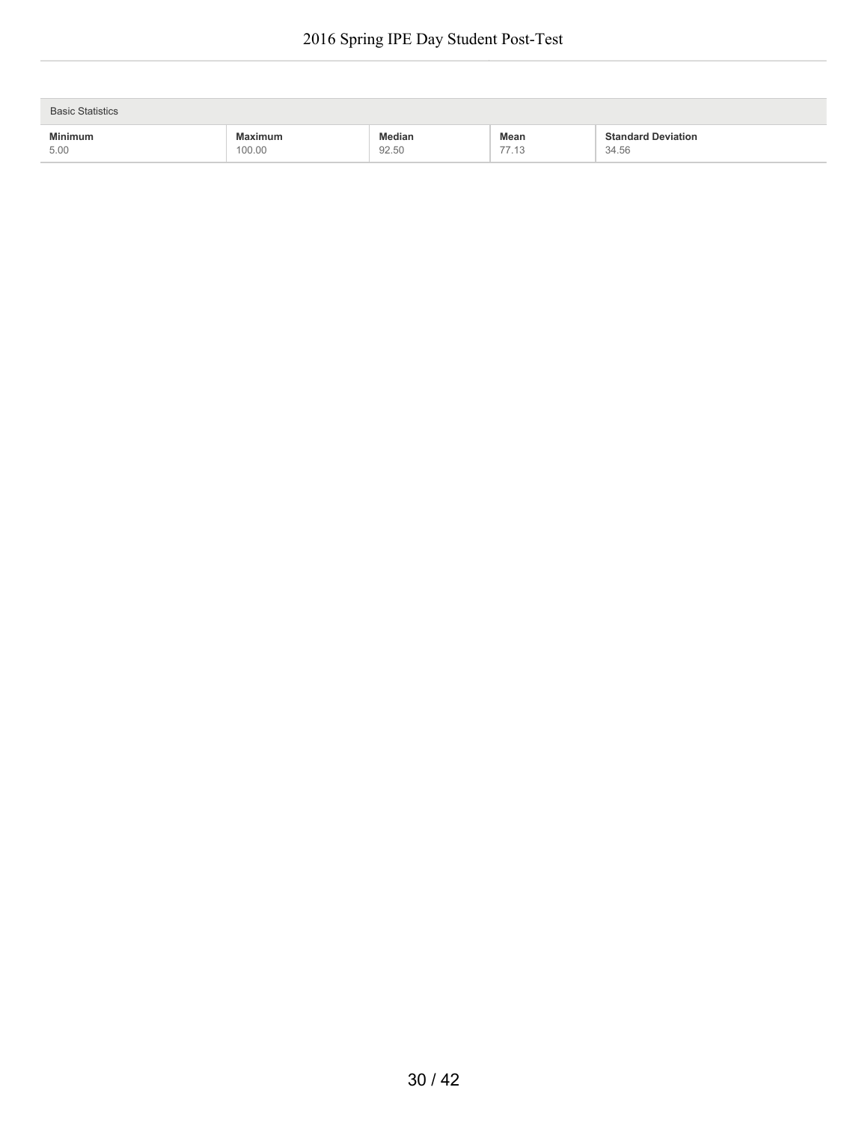| <b>Basic Statistics</b> |                          |                 |                       |                                    |
|-------------------------|--------------------------|-----------------|-----------------------|------------------------------------|
| <b>Minimum</b><br>5.00  | <b>Maximum</b><br>100.00 | Median<br>92.50 | Mean<br>77 19<br>1.10 | <b>Standard Deviation</b><br>34.56 |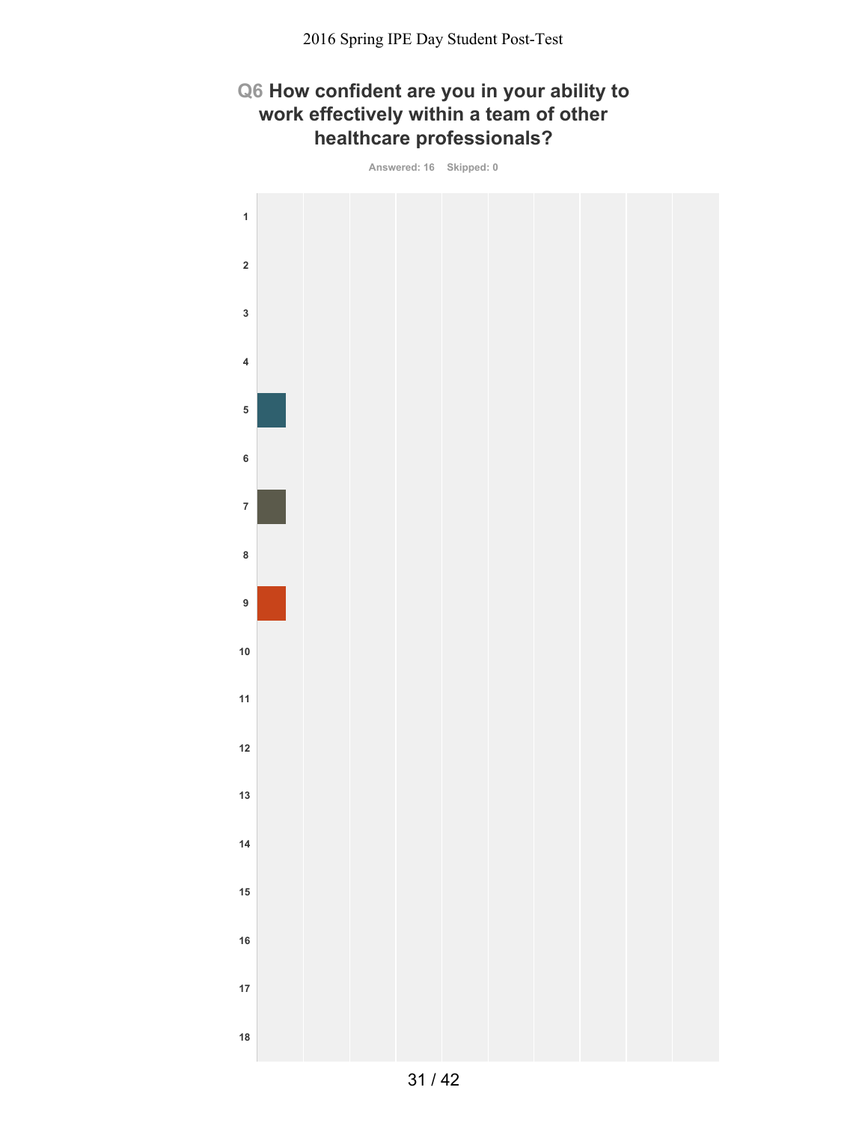# **Q6 How confident are you in your ability to work effectively within a team of other healthcare professionals?**

**Answered: 16 Skipped: 0**

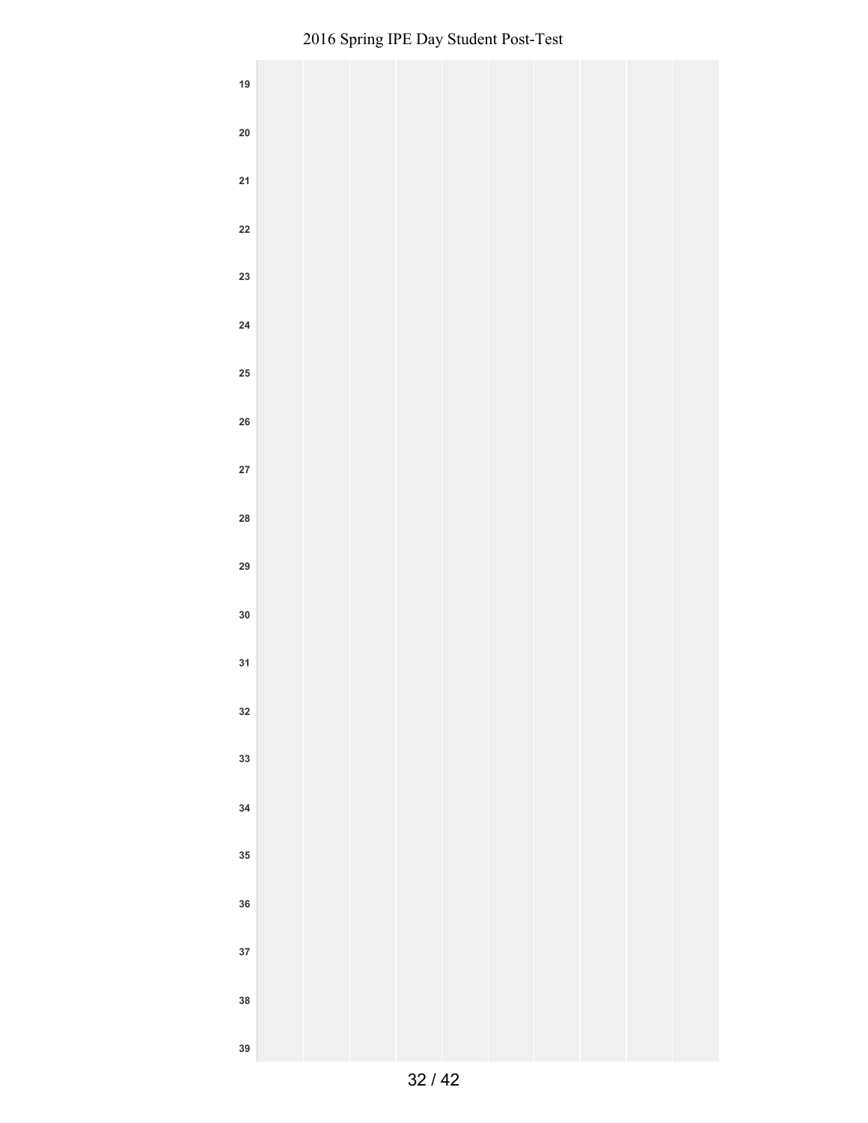| $19\,$     |  |  |  |  |  |
|------------|--|--|--|--|--|
| ${\bf 20}$ |  |  |  |  |  |
| 21         |  |  |  |  |  |
| ${\bf 22}$ |  |  |  |  |  |
| 23         |  |  |  |  |  |
| ${\bf 24}$ |  |  |  |  |  |
| ${\bf 25}$ |  |  |  |  |  |
| ${\bf 26}$ |  |  |  |  |  |
| ${\bf 27}$ |  |  |  |  |  |
| 28         |  |  |  |  |  |
| 29         |  |  |  |  |  |
| ${\bf 30}$ |  |  |  |  |  |
| 31         |  |  |  |  |  |
| ${\bf 32}$ |  |  |  |  |  |
| 33         |  |  |  |  |  |
| $34\,$     |  |  |  |  |  |
| ${\bf 35}$ |  |  |  |  |  |
| $36\,$     |  |  |  |  |  |
| 37         |  |  |  |  |  |
|            |  |  |  |  |  |
| ${\bf 38}$ |  |  |  |  |  |
| 39         |  |  |  |  |  |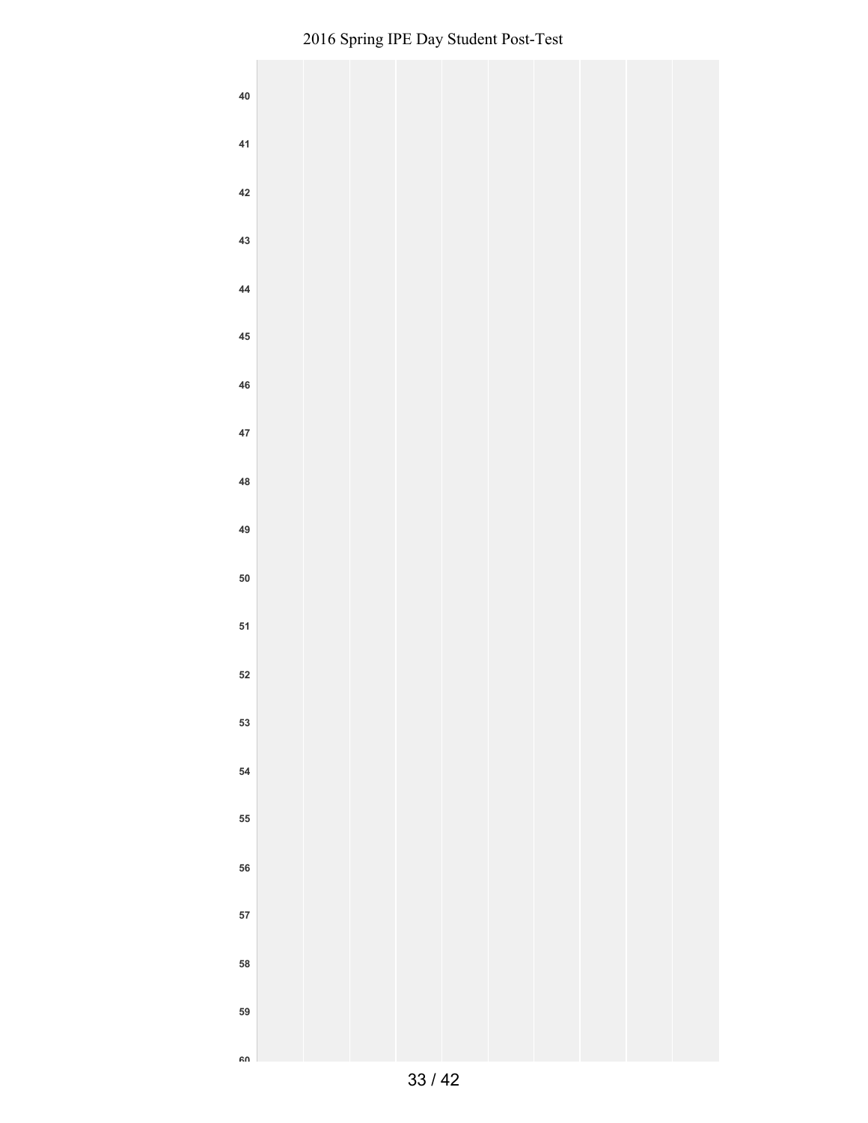| ${\bf 40}$       |  |  |  |  |  |
|------------------|--|--|--|--|--|
| 41               |  |  |  |  |  |
| 42               |  |  |  |  |  |
| 43               |  |  |  |  |  |
| 44               |  |  |  |  |  |
| $45\,$           |  |  |  |  |  |
| ${\bf 46}$       |  |  |  |  |  |
| 47               |  |  |  |  |  |
| ${\bf 48}$       |  |  |  |  |  |
| 49               |  |  |  |  |  |
| 50<br>${\bf 51}$ |  |  |  |  |  |
| 52               |  |  |  |  |  |
| 53               |  |  |  |  |  |
| ${\bf 54}$       |  |  |  |  |  |
| 55               |  |  |  |  |  |
| 56               |  |  |  |  |  |
| ${\bf 57}$       |  |  |  |  |  |
| 58               |  |  |  |  |  |
| 59               |  |  |  |  |  |
| <b>CO</b>        |  |  |  |  |  |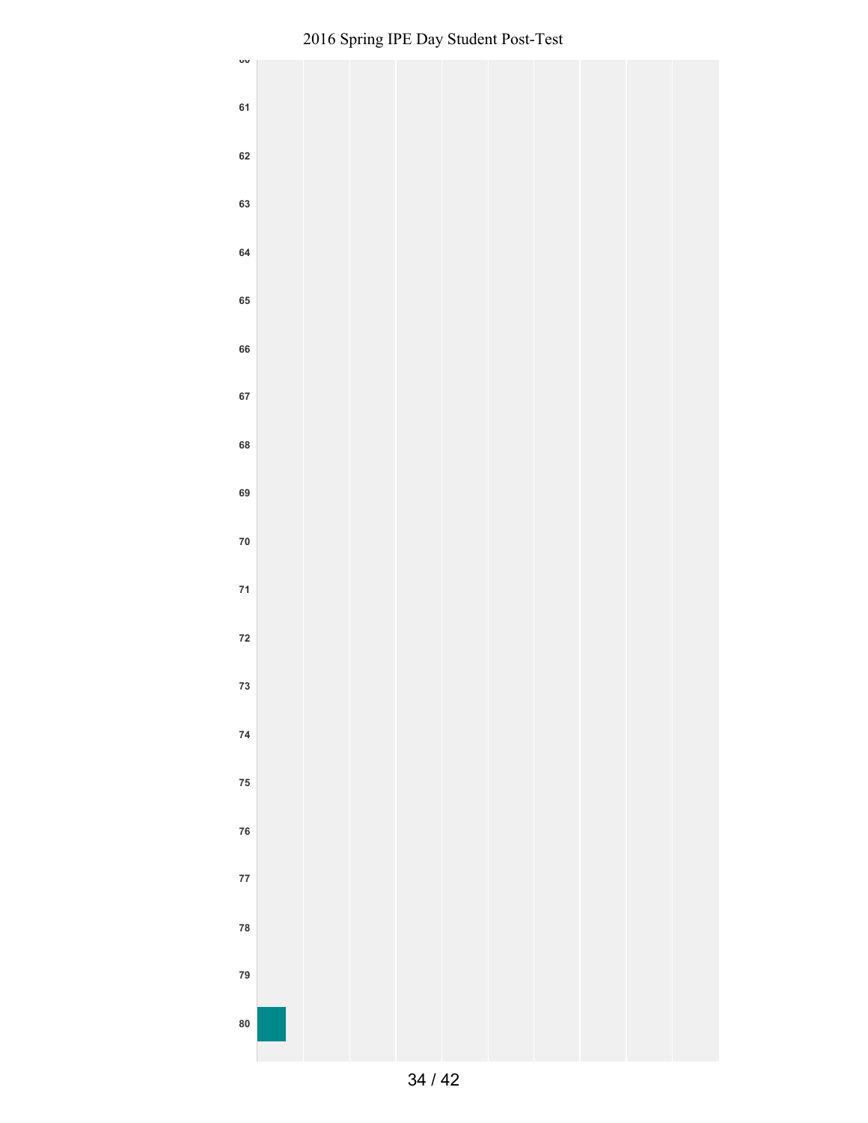#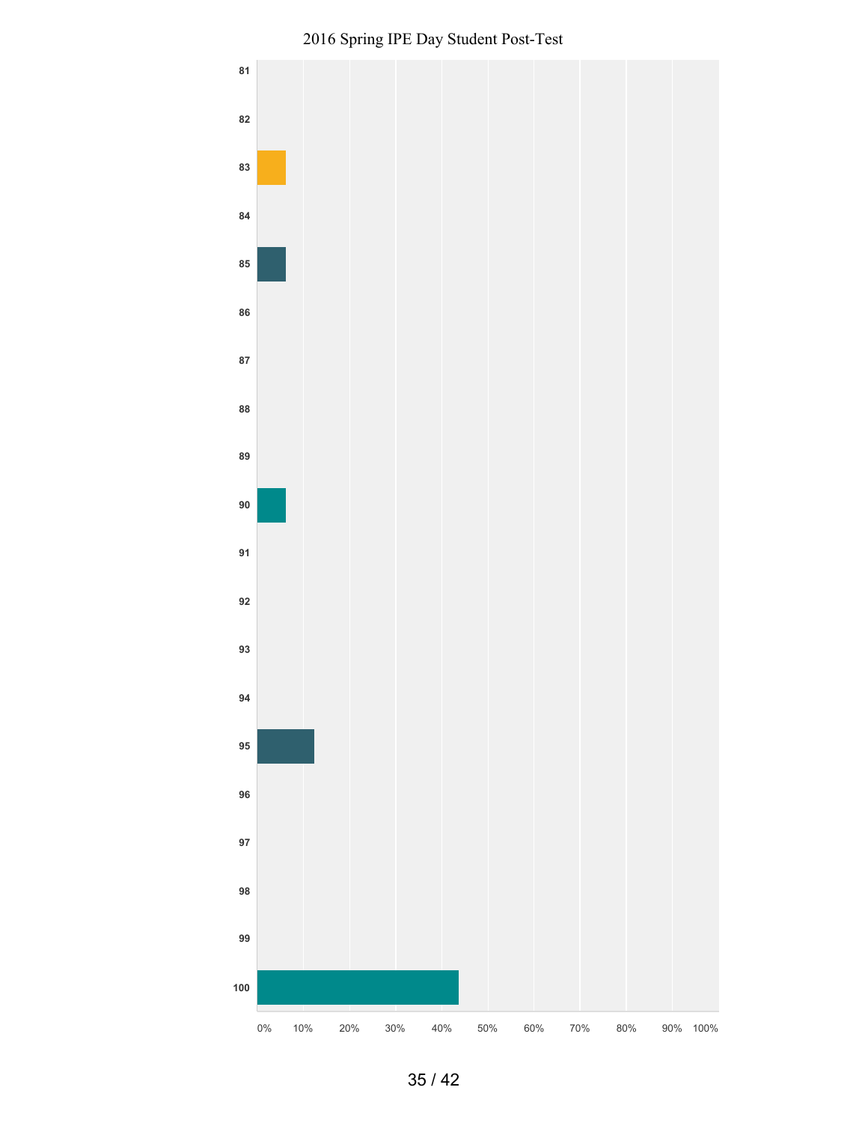

Spring IPE Day Student Post-Test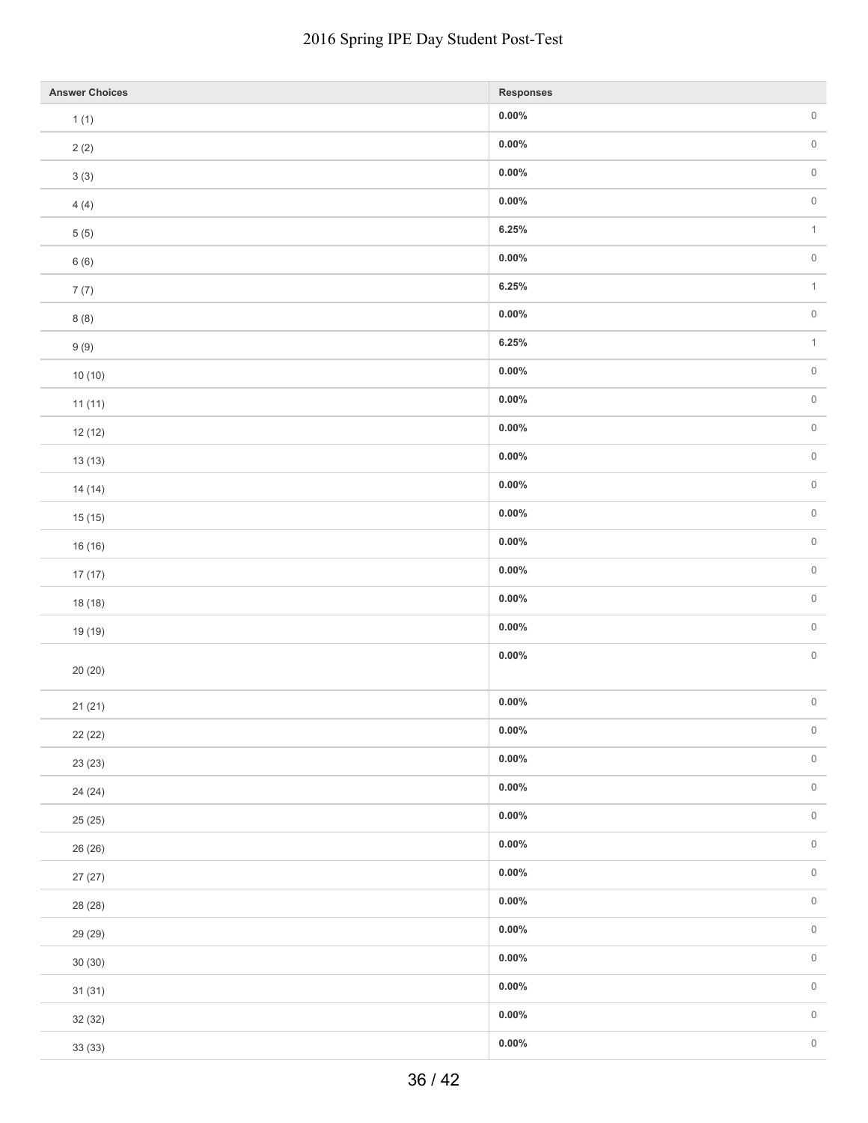#### dent Post-Test

| <b>Answer Choices</b> | Responses |         |
|-----------------------|-----------|---------|
| 1(1)                  | $0.00\%$  | $\,0\,$ |
| 2(2)                  | $0.00\%$  |         |
| 3(3)                  | $0.00\%$  | $\,0\,$ |
| 4(4)                  | $0.00\%$  | $\,0\,$ |
| $5(5)$                | 6.25%     |         |
| 6(6)                  | $0.00\%$  | $\,0\,$ |
| 7(7)                  | 6.25%     |         |
| 8(8)                  | $0.00\%$  |         |
| 9(9)                  | 6.25%     |         |
| 10(10)                | $0.00\%$  | $\,0\,$ |
| 11(11)                | $0.00\%$  | $\,0\,$ |
| 12(12)                | $0.00\%$  | $\,0\,$ |
| 13(13)                | $0.00\%$  | $\,0\,$ |
| 14(14)                | $0.00\%$  |         |
| 15(15)                | $0.00\%$  | $\,0\,$ |
| 16 (16)               | $0.00\%$  | $\,0\,$ |
| 17(17)                | $0.00\%$  | $\,0\,$ |
| 18 (18)               | $0.00\%$  |         |
| 19 (19)               | $0.00\%$  |         |
|                       | $0.00\%$  |         |
| 20 (20)               |           |         |
| 21(21)                | $0.00\%$  |         |
| 22 (22)               | $0.00\%$  |         |
| 23 (23)               | $0.00\%$  | $\,0\,$ |
| 24 (24)               | $0.00\%$  | $\,0\,$ |
| 25(25)                | $0.00\%$  |         |
| 26 (26)               | $0.00\%$  |         |
| 27(27)                | $0.00\%$  |         |
| 28 (28)               | $0.00\%$  |         |
| 29 (29)               | $0.00\%$  |         |
| 30(30)                | $0.00\%$  |         |
| 31(31)                | $0.00\%$  |         |
| 32 (32)               | $0.00\%$  |         |
| 33 (33)               | $0.00\%$  | $\,0\,$ |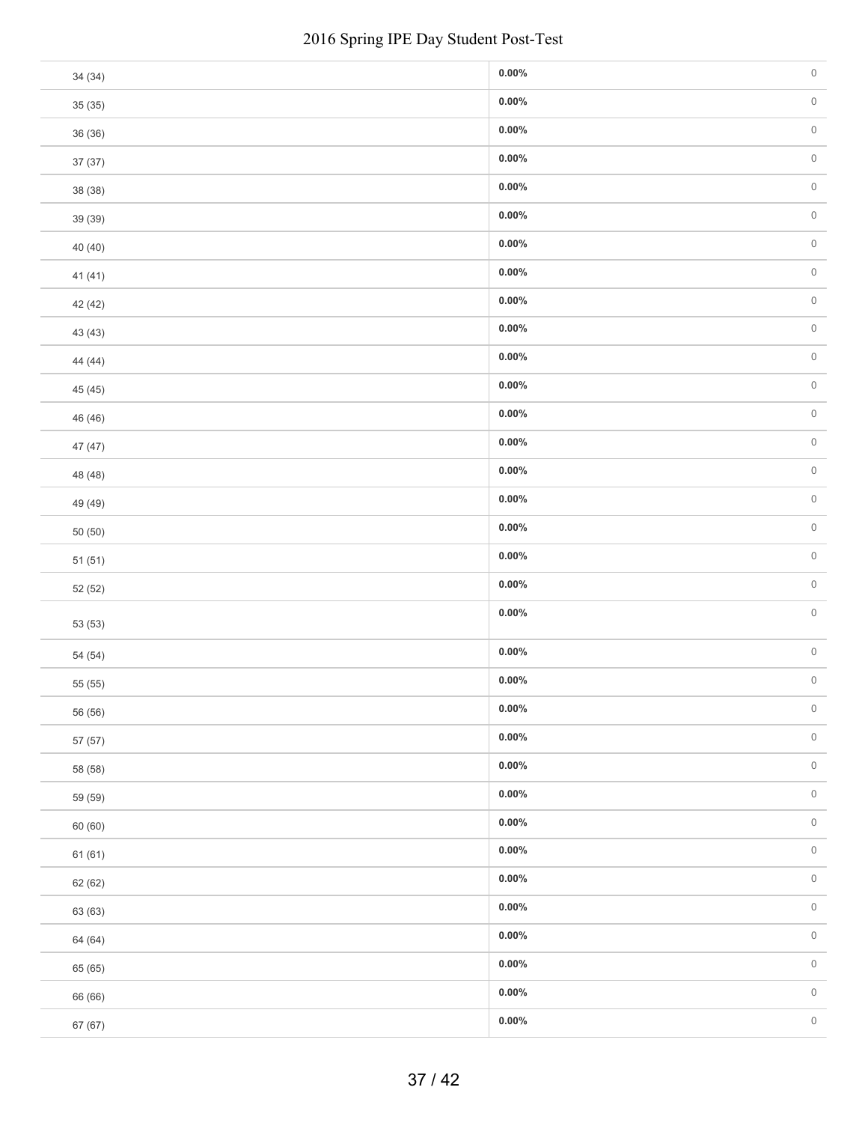|         | 2016 Spring IPE Day Student Post-Test |                     |
|---------|---------------------------------------|---------------------|
| 34 (34) | $0.00\%$                              | $\mathsf{O}$        |
| 35 (35) | $0.00\%$                              | $\mathsf{O}\xspace$ |
| 36 (36) | $0.00\%$                              | $\,0\,$             |
| 37 (37) | $0.00\%$                              | $\mathsf{O}$        |
| 38 (38) | $0.00\%$                              | $\,0\,$             |
| 39 (39) | $0.00\%$                              | $\mathsf{O}$        |
| 40 (40) | $0.00\%$                              | $\mathsf{O}$        |
| 41(41)  | $0.00\%$                              | $\,0\,$             |
| 42 (42) | $0.00\%$                              | $\mathsf{O}\xspace$ |
| 43 (43) | $0.00\%$                              | $\mathsf{O}$        |
| 44 (44) | $0.00\%$                              | $\,0\,$             |
| 45 (45) | $0.00\%$                              | $\mathsf{O}\xspace$ |
| 46 (46) | $0.00\%$                              | $\mathsf{O}$        |
| 47 (47) | $0.00\%$                              | $\,0\,$             |
| 48 (48) | $0.00\%$                              | $\,0\,$             |
| 49 (49) | $0.00\%$                              | $\,0\,$             |
| 50(50)  | $0.00\%$                              | $\,0\,$             |
| 51(51)  | $0.00\%$                              | $\,0\,$             |
| 52 (52) | $0.00\%$                              | $\mathsf{O}\xspace$ |
| 53 (53) | $0.00\%$                              | $\mathsf{O}\xspace$ |
| 54 (54) | $0.00\%$                              | $\,0\,$             |
| 55 (55) | $0.00\%$                              | $\,0\,$             |
| 56 (56) | $0.00\%$                              | $\mathsf{O}\xspace$ |
| 57 (57) | $0.00\%$                              | $\mathsf{O}\xspace$ |
| 58 (58) | $0.00\%$                              | $\mathsf{O}\xspace$ |
| 59 (59) | $0.00\%$                              | $\mathsf{O}\xspace$ |
| 60 (60) | $0.00\%$                              | $\mathsf{O}$        |
| 61 (61) | $0.00\%$                              | $\mathsf{O}\xspace$ |
| 62 (62) | $0.00\%$                              | $\mathsf{O}\xspace$ |
| 63 (63) | $0.00\%$                              | $\mathsf{O}$        |
| 64 (64) | $0.00\%$                              | $\mathsf{O}\xspace$ |
| 65 (65) | $0.00\%$                              | $\mathsf{O}$        |
| 66 (66) | $0.00\%$                              | $\mathsf{O}\xspace$ |
| 67 (67) | $0.00\%$                              | $\mathsf{O}\xspace$ |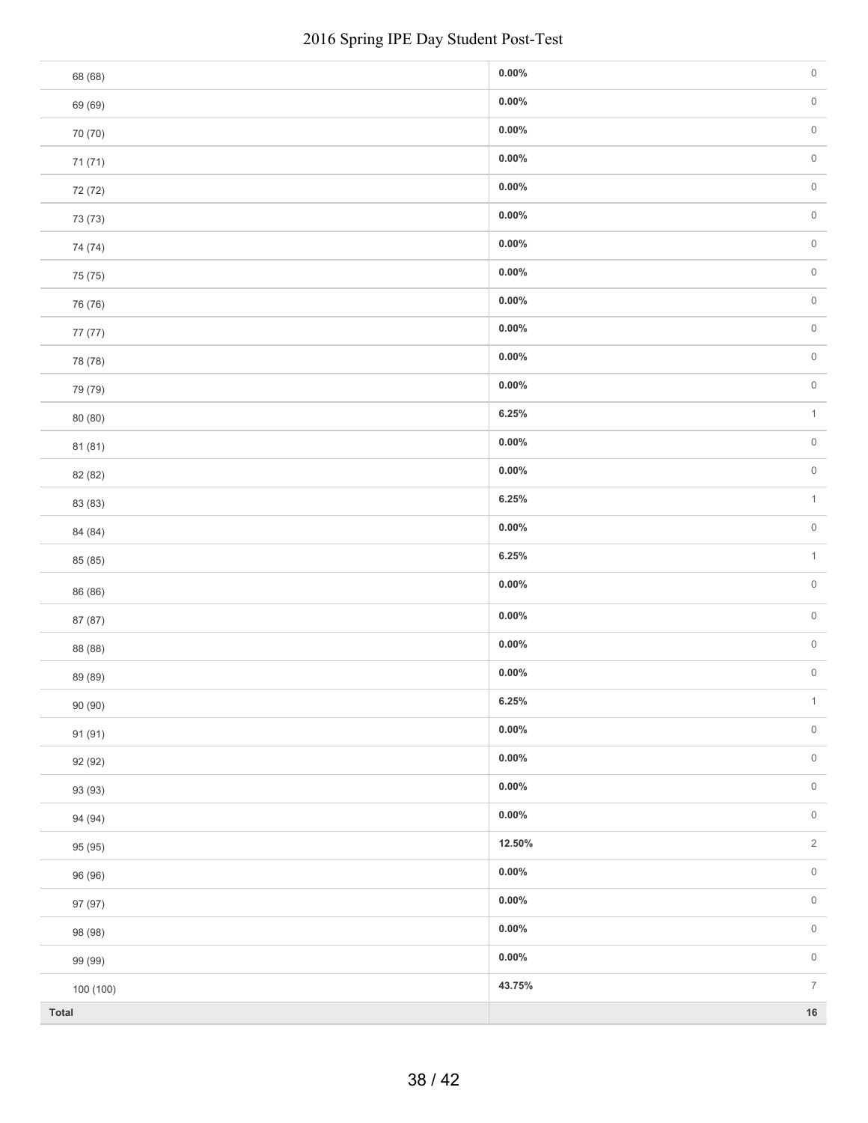|           | 2016 Spring IPE Day Student Post-Test |                     |
|-----------|---------------------------------------|---------------------|
| 68 (68)   | $0.00\%$                              | $\mathsf{O}\xspace$ |
| 69 (69)   | $0.00\%$                              | $\mathsf{O}\xspace$ |
| 70 (70)   | $0.00\%$                              | $\mathsf{O}\xspace$ |
| 71 (71)   | $0.00\%$                              | $\mathsf{O}\xspace$ |
| 72 (72)   | $0.00\%$                              | $\mathsf{O}\xspace$ |
| 73 (73)   | $0.00\%$                              | $\mathbb O$         |
| 74 (74)   | $0.00\%$                              | $\mathsf{O}\xspace$ |
| 75 (75)   | $0.00\%$                              | $\mathsf{O}\xspace$ |
| 76 (76)   | $0.00\%$                              | $\mathbb O$         |
| 77 (77)   | $0.00\%$                              | $\mathsf{O}\xspace$ |
| 78 (78)   | $0.00\%$                              | $\mathsf{O}$        |
| 79 (79)   | $0.00\%$                              | $\mathbb O$         |
| 80 (80)   | 6.25%                                 | $\mathbf{1}$        |
| 81 (81)   | $0.00\%$                              | $\mathsf{O}$        |
| 82 (82)   | $0.00\%$                              | $\mathbb O$         |
| 83 (83)   | 6.25%                                 | $\mathbf{1}$        |
| 84 (84)   | $0.00\%$                              | $\mathsf{O}$        |
| 85 (85)   | 6.25%                                 | $\mathbf{1}$        |
| 86 (86)   | $0.00\%$                              | $\mathsf{O}\xspace$ |
| 87 (87)   | $0.00\%$                              | $\mathsf{O}\xspace$ |
| 88 (88)   | $0.00\%$                              | $\mathsf{O}\xspace$ |
| 89 (89)   | $0.00\%$                              | $\overline{0}$      |
| 90 (90)   | 6.25%                                 | $\mathbf{1}$        |
| 91 (91)   | $0.00\%$                              | $\mathsf{O}\xspace$ |
| 92 (92)   | $0.00\%$                              | $\mathsf{O}\xspace$ |
| 93 (93)   | $0.00\%$                              | $\,0\,$             |
| 94 (94)   | $0.00\%$                              | $\mathsf{O}\xspace$ |
| 95 (95)   | 12.50%                                | $\sqrt{2}$          |
| 96 (96)   | $0.00\%$                              | $\,0\,$             |
| 97 (97)   | $0.00\%$                              | $\mathsf{O}\xspace$ |
| 98 (98)   | $0.00\%$                              | $\mathsf{O}\xspace$ |
| 99 (99)   | $0.00\%$                              | $\,0\,$             |
| 100 (100) | 43.75%                                | $\overline{7}$      |
| Total     |                                       | $16\,$              |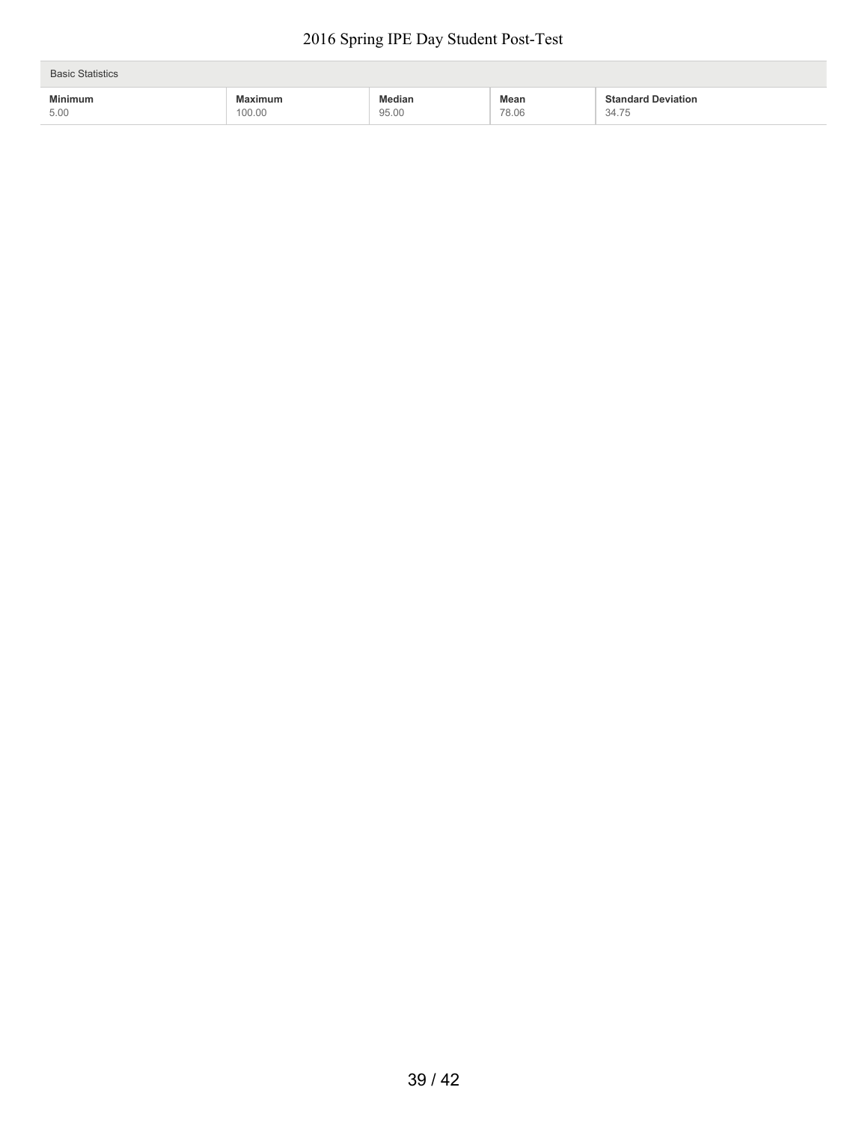| <b>Basic Statistics</b> |                |               |       |                           |  |  |  |  |
|-------------------------|----------------|---------------|-------|---------------------------|--|--|--|--|
| <b>Minimum</b>          | <b>Maximum</b> | <b>Median</b> | Mean  | <b>Standard Deviation</b> |  |  |  |  |
| 5.00                    | 100.00         | 95.00         | 78.06 | 34.75                     |  |  |  |  |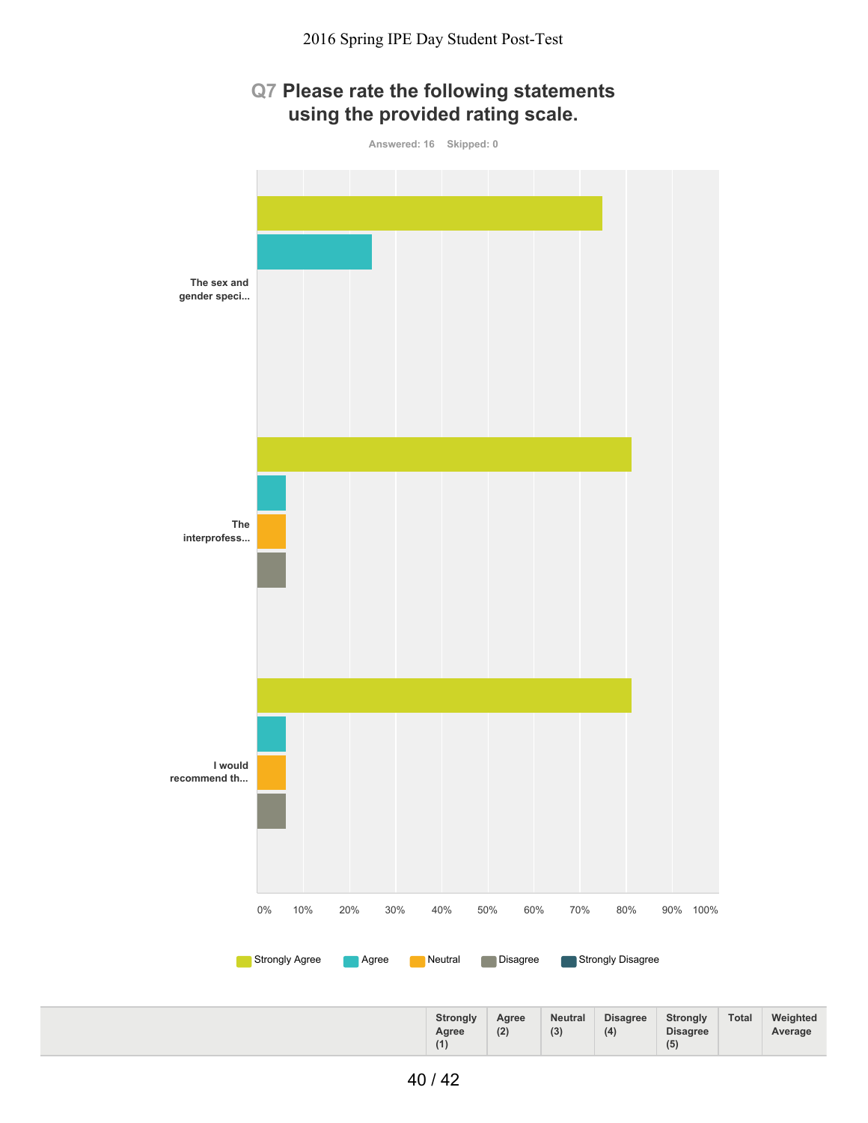# **Q7 Please rate the following statements using the provided rating scale.**



|  | <b>Strongly</b><br>Agree<br>(1) | Agree<br>(2)<br>$\mathbf{r}$ | <b>Neutral</b><br>(3) | <b>Disagree</b><br>(4) | <b>Strongly</b><br><b>Disagree</b><br>(5) | <b>Total</b> | Weighted<br>Average |
|--|---------------------------------|------------------------------|-----------------------|------------------------|-------------------------------------------|--------------|---------------------|
|--|---------------------------------|------------------------------|-----------------------|------------------------|-------------------------------------------|--------------|---------------------|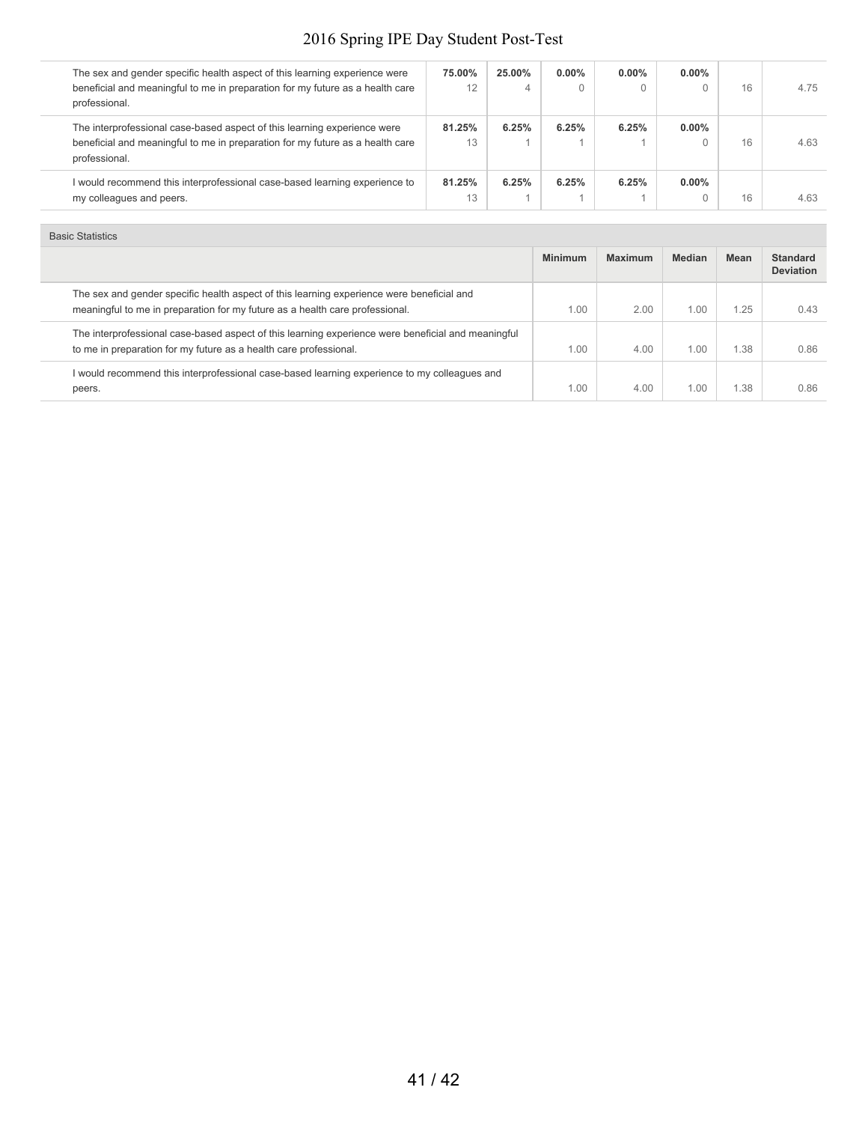| The sex and gender specific health aspect of this learning experience were<br>beneficial and meaningful to me in preparation for my future as a health care<br>professional. | 75.00%<br>12 | 25.00% | $0.00\%$ | $0.00\%$ | $0.00\%$ | 16 | 4.75 |
|------------------------------------------------------------------------------------------------------------------------------------------------------------------------------|--------------|--------|----------|----------|----------|----|------|
| The interprofessional case-based aspect of this learning experience were<br>beneficial and meaningful to me in preparation for my future as a health care<br>professional.   | 81.25%<br>13 | 6.25%  | 6.25%    | 6.25%    | $0.00\%$ | 16 | 4.63 |
| I would recommend this interprofessional case-based learning experience to<br>my colleagues and peers.                                                                       | 81.25%<br>13 | 6.25%  | 6.25%    | 6.25%    | $0.00\%$ | 16 | 4.63 |

#### Basic Statistics

|                                                                                                                                                                           | <b>Minimum</b> | <b>Maximum</b> | <b>Median</b> | Mean | <b>Standard</b><br><b>Deviation</b> |
|---------------------------------------------------------------------------------------------------------------------------------------------------------------------------|----------------|----------------|---------------|------|-------------------------------------|
| The sex and gender specific health aspect of this learning experience were beneficial and<br>meaningful to me in preparation for my future as a health care professional. | 1.00           | 2.00           | .00           | 1.25 | 0.43                                |
| The interprofessional case-based aspect of this learning experience were beneficial and meaningful<br>to me in preparation for my future as a health care professional.   | 1.00           | 4.00           | .00           | 1.38 | 0.86                                |
| would recommend this interprofessional case-based learning experience to my colleagues and<br>peers.                                                                      | 1.00           | 4.00           | .00           | 1.38 | 0.86                                |